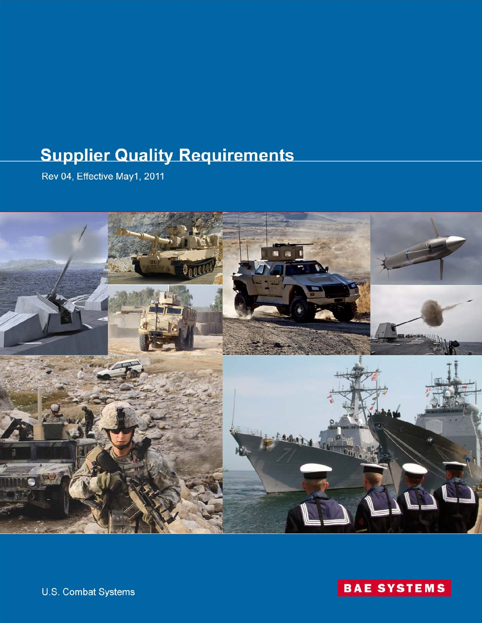# **Supplier Quality Requirements**

Rev 04, Effective May1, 2011





hat  $M_{\rm 100}$  1, 2011  $\pm$  2011  $\pm$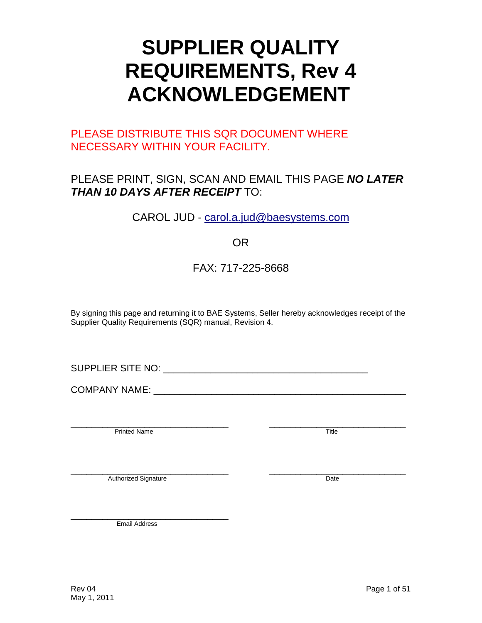# **SUPPLIER QUALITY REQUIREMENTS, Rev 4 ACKNOWLEDGEMENT**

# PLEASE DISTRIBUTE THIS SQR DOCUMENT WHERE NECESSARY WITHIN YOUR FACILITY.

# PLEASE PRINT, SIGN, SCAN AND EMAIL THIS PAGE *NO LATER THAN 10 DAYS AFTER RECEIPT* TO:

CAROL JUD - [carol.a.jud@baesystems.com](mailto:carol.a.jud@baesystems.com)

# OR

# FAX: 717-225-8668

By signing this page and returning it to BAE Systems, Seller hereby acknowledges receipt of the Supplier Quality Requirements (SQR) manual, Revision 4.

SUPPLIER SITE NO: **WE SUPPLIER SITE NO:** 

COMPANY NAME: \_\_\_\_\_\_\_\_\_\_\_\_\_\_\_\_\_\_\_\_\_\_\_\_\_\_\_\_\_\_\_\_\_\_\_\_\_\_\_\_\_\_\_\_\_\_\_\_

extends the printed Name of the state of the state of the state of the state of the state of the state of the state of the state of the state of the state of the state of the state of the state of the state of the state of

Authorized Signature **Example 2018** 2019 12:30 The Contract of the Date of the Date of the Date of the Date of the Date of the Date of the Date of the Date of the Date of the Date of the Date of the Date of the Date of the

\_\_\_\_\_\_\_\_\_\_\_\_\_\_\_\_\_\_\_\_\_\_\_\_\_\_\_\_\_\_ Email Address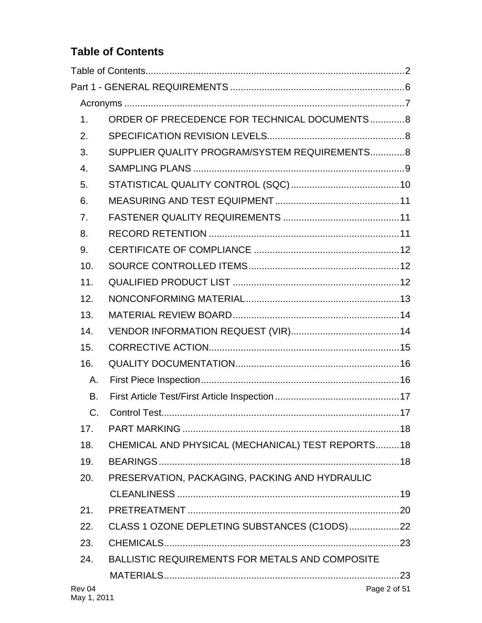# <span id="page-2-0"></span>**Table of Contents**

| 1.          | ORDER OF PRECEDENCE FOR TECHNICAL DOCUMENTS8           |              |
|-------------|--------------------------------------------------------|--------------|
| 2.          |                                                        |              |
| 3.          | SUPPLIER QUALITY PROGRAM/SYSTEM REQUIREMENTS 8         |              |
| 4.          |                                                        |              |
| 5.          |                                                        |              |
| 6.          |                                                        |              |
| 7.          |                                                        |              |
| 8.          |                                                        |              |
| 9.          |                                                        |              |
| 10.         |                                                        |              |
| 11.         |                                                        |              |
| 12.         |                                                        |              |
| 13.         |                                                        |              |
| 14.         |                                                        |              |
| 15.         |                                                        |              |
| 16.         |                                                        |              |
| Α.          |                                                        |              |
| <b>B.</b>   |                                                        |              |
| $C_{\cdot}$ |                                                        |              |
| 17.         |                                                        |              |
| 18.         | CHEMICAL AND PHYSICAL (MECHANICAL) TEST REPORTS18      |              |
| 19.         |                                                        |              |
| 20.         | PRESERVATION, PACKAGING, PACKING AND HYDRAULIC         |              |
|             |                                                        |              |
| 21.         |                                                        |              |
| 22.         | CLASS 1 OZONE DEPLETING SUBSTANCES (C1ODS)22           |              |
| 23.         |                                                        |              |
| 24.         | <b>BALLISTIC REQUIREMENTS FOR METALS AND COMPOSITE</b> |              |
|             |                                                        |              |
| Rev 04      |                                                        | Page 2 of 51 |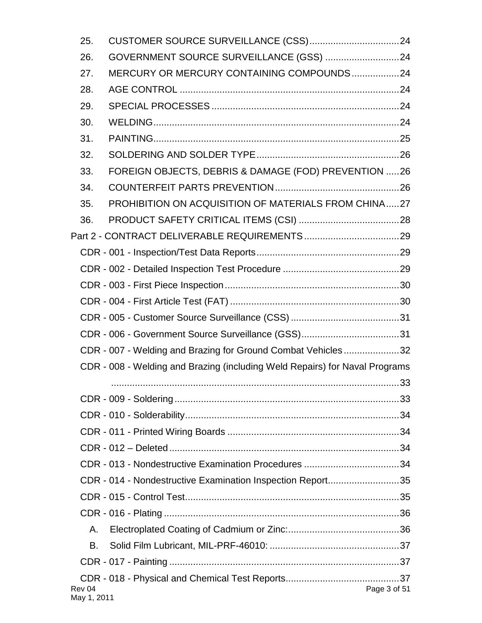| 25.                   |                                                                             |  |
|-----------------------|-----------------------------------------------------------------------------|--|
| 26.                   | GOVERNMENT SOURCE SURVEILLANCE (GSS) 24                                     |  |
| 27.                   | MERCURY OR MERCURY CONTAINING COMPOUNDS24                                   |  |
| 28.                   |                                                                             |  |
| 29.                   |                                                                             |  |
| 30.                   |                                                                             |  |
| 31.                   |                                                                             |  |
| 32.                   |                                                                             |  |
| 33.                   | FOREIGN OBJECTS, DEBRIS & DAMAGE (FOD) PREVENTION 26                        |  |
| 34.                   |                                                                             |  |
| 35.                   | PROHIBITION ON ACQUISITION OF MATERIALS FROM CHINA27                        |  |
| 36.                   |                                                                             |  |
|                       |                                                                             |  |
|                       |                                                                             |  |
|                       |                                                                             |  |
|                       |                                                                             |  |
|                       |                                                                             |  |
|                       |                                                                             |  |
|                       |                                                                             |  |
|                       | CDR - 007 - Welding and Brazing for Ground Combat Vehicles32                |  |
|                       | CDR - 008 - Welding and Brazing (including Weld Repairs) for Naval Programs |  |
|                       |                                                                             |  |
|                       |                                                                             |  |
|                       |                                                                             |  |
|                       |                                                                             |  |
|                       |                                                                             |  |
|                       |                                                                             |  |
|                       | CDR - 014 - Nondestructive Examination Inspection Report35                  |  |
|                       |                                                                             |  |
|                       |                                                                             |  |
| А.                    |                                                                             |  |
| В.                    |                                                                             |  |
|                       |                                                                             |  |
| Rev 04<br>May 1, 2011 | Page 3 of 51                                                                |  |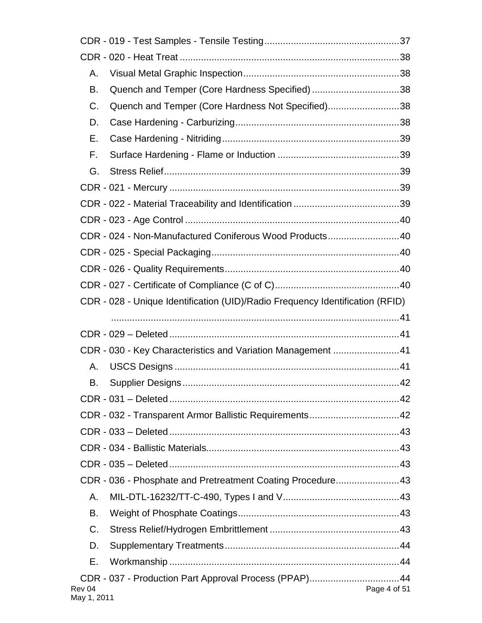| Α.                    |                                                                               |              |
|-----------------------|-------------------------------------------------------------------------------|--------------|
| B.                    | Quench and Temper (Core Hardness Specified)38                                 |              |
| C.                    | Quench and Temper (Core Hardness Not Specified)38                             |              |
| D.                    |                                                                               |              |
| Е.                    |                                                                               |              |
| F.                    |                                                                               |              |
| G.                    |                                                                               |              |
|                       |                                                                               |              |
|                       |                                                                               |              |
|                       |                                                                               |              |
|                       | CDR - 024 - Non-Manufactured Coniferous Wood Products40                       |              |
|                       |                                                                               |              |
|                       |                                                                               |              |
|                       |                                                                               |              |
|                       | CDR - 028 - Unique Identification (UID)/Radio Frequency Identification (RFID) |              |
|                       |                                                                               |              |
|                       |                                                                               |              |
|                       | CDR - 030 - Key Characteristics and Variation Management 41                   |              |
| А.                    |                                                                               |              |
| В.                    |                                                                               |              |
|                       |                                                                               |              |
|                       | CDR - 032 - Transparent Armor Ballistic Requirements42                        |              |
|                       |                                                                               |              |
|                       |                                                                               |              |
|                       |                                                                               |              |
|                       | CDR - 036 - Phosphate and Pretreatment Coating Procedure43                    |              |
| Α.                    |                                                                               |              |
| В.                    |                                                                               |              |
| $C_{\cdot}$           |                                                                               |              |
| D.                    |                                                                               |              |
| Е.                    |                                                                               |              |
| Rev 04<br>May 1, 2011 | CDR - 037 - Production Part Approval Process (PPAP)44                         | Page 4 of 51 |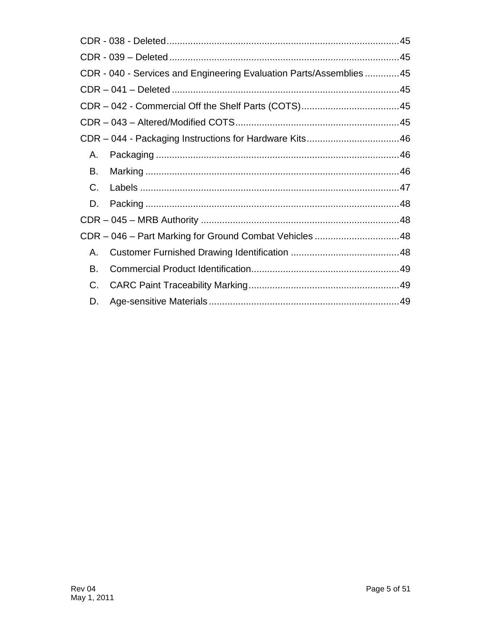|         | CDR - 040 - Services and Engineering Evaluation Parts/Assemblies45 |  |
|---------|--------------------------------------------------------------------|--|
|         |                                                                    |  |
|         |                                                                    |  |
|         |                                                                    |  |
|         |                                                                    |  |
| Α.      |                                                                    |  |
| В.      |                                                                    |  |
| $C_{1}$ |                                                                    |  |
| D.      |                                                                    |  |
|         |                                                                    |  |
|         | CDR - 046 - Part Marking for Ground Combat Vehicles 48             |  |
| А.      |                                                                    |  |
| В.      |                                                                    |  |
| C.      |                                                                    |  |
| D.      |                                                                    |  |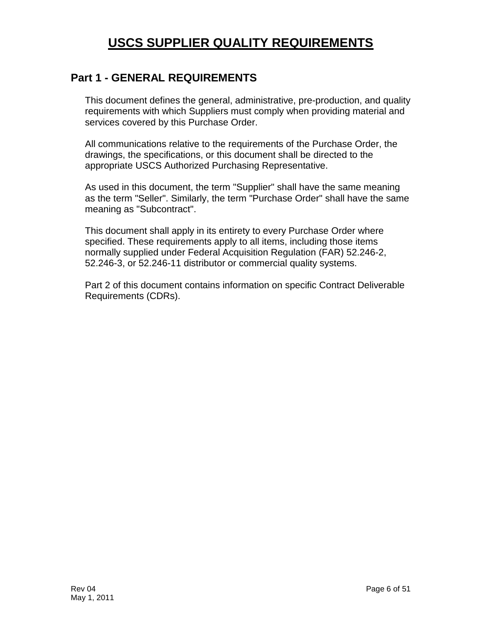# **USCS SUPPLIER QUALITY REQUIREMENTS**

# <span id="page-6-0"></span>**Part 1 - GENERAL REQUIREMENTS**

This document defines the general, administrative, pre-production, and quality requirements with which Suppliers must comply when providing material and services covered by this Purchase Order.

All communications relative to the requirements of the Purchase Order, the drawings, the specifications, or this document shall be directed to the appropriate USCS Authorized Purchasing Representative.

As used in this document, the term "Supplier" shall have the same meaning as the term "Seller". Similarly, the term "Purchase Order" shall have the same meaning as "Subcontract".

This document shall apply in its entirety to every Purchase Order where specified. These requirements apply to all items, including those items normally supplied under Federal Acquisition Regulation (FAR) 52.246-2, 52.246-3, or 52.246-11 distributor or commercial quality systems.

Part 2 of this document contains information on specific Contract Deliverable Requirements (CDRs).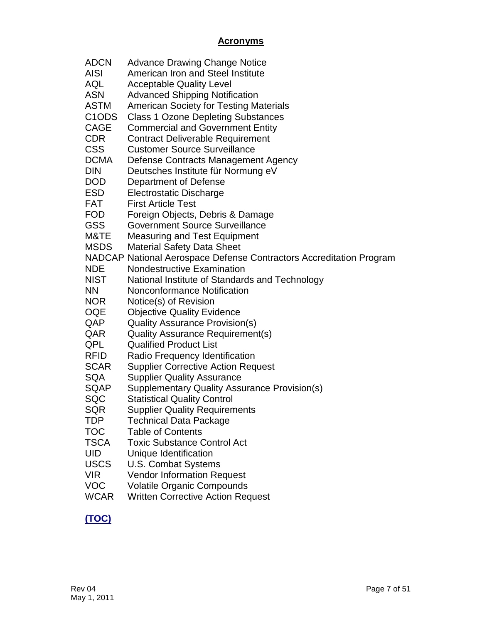## **Acronyms**

<span id="page-7-0"></span>

| <b>ADCN</b>                     | <b>Advance Drawing Change Notice</b>                                |
|---------------------------------|---------------------------------------------------------------------|
| <b>AISI</b>                     | American Iron and Steel Institute                                   |
| <b>AQL</b>                      | <b>Acceptable Quality Level</b>                                     |
| <b>ASN</b>                      | <b>Advanced Shipping Notification</b>                               |
| <b>ASTM</b>                     | <b>American Society for Testing Materials</b>                       |
| C <sub>1</sub> O <sub>D</sub> S | <b>Class 1 Ozone Depleting Substances</b>                           |
| <b>CAGE</b>                     | <b>Commercial and Government Entity</b>                             |
| <b>CDR</b>                      | <b>Contract Deliverable Requirement</b>                             |
| <b>CSS</b>                      | <b>Customer Source Surveillance</b>                                 |
| <b>DCMA</b>                     | Defense Contracts Management Agency                                 |
| <b>DIN</b>                      | Deutsches Institute für Normung eV                                  |
| <b>DOD</b>                      | Department of Defense                                               |
| <b>ESD</b>                      | Electrostatic Discharge                                             |
| <b>FAT</b>                      | <b>First Article Test</b>                                           |
| <b>FOD</b>                      | Foreign Objects, Debris & Damage                                    |
| <b>GSS</b>                      | <b>Government Source Surveillance</b>                               |
| M&TE                            | <b>Measuring and Test Equipment</b>                                 |
| <b>MSDS</b>                     | <b>Material Safety Data Sheet</b>                                   |
|                                 | NADCAP National Aerospace Defense Contractors Accreditation Program |
| <b>NDE</b>                      | <b>Nondestructive Examination</b>                                   |
| NIST                            | National Institute of Standards and Technology                      |
| <b>NN</b>                       | Nonconformance Notification                                         |
| <b>NOR</b>                      | Notice(s) of Revision                                               |
| <b>OQE</b>                      | <b>Objective Quality Evidence</b>                                   |
| QAP                             | <b>Quality Assurance Provision(s)</b>                               |
| QAR                             | <b>Quality Assurance Requirement(s)</b>                             |
| QPL                             | <b>Qualified Product List</b>                                       |
| <b>RFID</b>                     | Radio Frequency Identification                                      |
| <b>SCAR</b>                     | <b>Supplier Corrective Action Request</b>                           |
| <b>SQA</b>                      | <b>Supplier Quality Assurance</b>                                   |
| <b>SQAP</b>                     | Supplementary Quality Assurance Provision(s)                        |
| SQC                             | <b>Statistical Quality Control</b>                                  |
| SQR                             | <b>Supplier Quality Requirements</b>                                |
| <b>TDP</b>                      | <b>Technical Data Package</b>                                       |
| <b>TOC</b>                      | <b>Table of Contents</b>                                            |
| <b>TSCA</b>                     | <b>Toxic Substance Control Act</b>                                  |
| <b>UID</b>                      | Unique Identification                                               |
| <b>USCS</b>                     | <b>U.S. Combat Systems</b>                                          |
| <b>VIR</b>                      | <b>Vendor Information Request</b>                                   |
| <b>VOC</b>                      | <b>Volatile Organic Compounds</b>                                   |

WCAR Written Corrective Action Request

# **[\(TOC\)](#page-2-0)**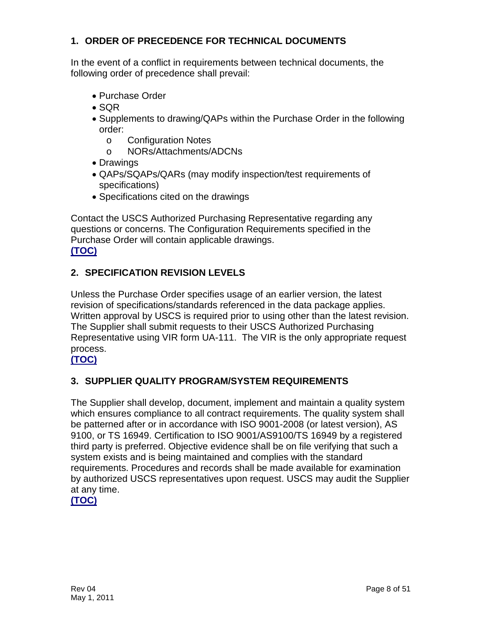## <span id="page-8-0"></span>**1. ORDER OF PRECEDENCE FOR TECHNICAL DOCUMENTS**

In the event of a conflict in requirements between technical documents, the following order of precedence shall prevail:

- Purchase Order
- SQR
- Supplements to drawing/QAPs within the Purchase Order in the following order:
	- o Configuration Notes
	- o NORs/Attachments/ADCNs
- Drawings
- QAPs/SQAPs/QARs (may modify inspection/test requirements of specifications)
- Specifications cited on the drawings

Contact the USCS Authorized Purchasing Representative regarding any questions or concerns. The Configuration Requirements specified in the Purchase Order will contain applicable drawings. **[\(TOC\)](#page-2-0)**

## <span id="page-8-1"></span>**2. SPECIFICATION REVISION LEVELS**

Unless the Purchase Order specifies usage of an earlier version, the latest revision of specifications/standards referenced in the data package applies. Written approval by USCS is required prior to using other than the latest revision. The Supplier shall submit requests to their USCS Authorized Purchasing Representative using VIR form UA-111. The VIR is the only appropriate request process.

#### **[\(TOC\)](#page-2-0)**

#### <span id="page-8-2"></span>**3. SUPPLIER QUALITY PROGRAM/SYSTEM REQUIREMENTS**

The Supplier shall develop, document, implement and maintain a quality system which ensures compliance to all contract requirements. The quality system shall be patterned after or in accordance with ISO 9001-2008 (or latest version), AS 9100, or TS 16949. Certification to ISO 9001/AS9100/TS 16949 by a registered third party is preferred. Objective evidence shall be on file verifying that such a system exists and is being maintained and complies with the standard requirements. Procedures and records shall be made available for examination by authorized USCS representatives upon request. USCS may audit the Supplier at any time.

**[\(TOC\)](#page-2-0)**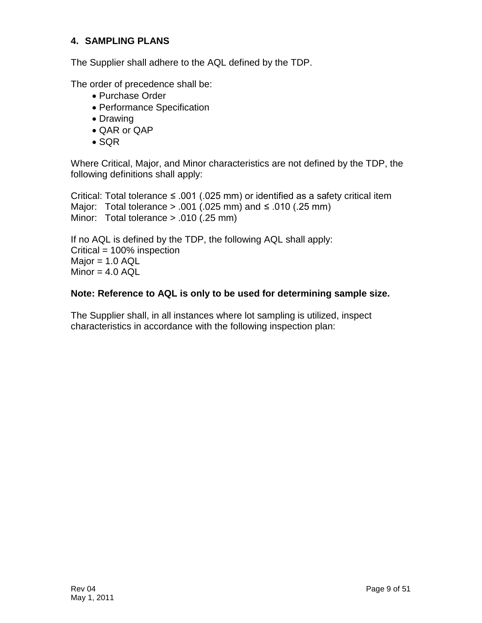#### <span id="page-9-0"></span>**4. SAMPLING PLANS**

The Supplier shall adhere to the AQL defined by the TDP.

The order of precedence shall be:

- Purchase Order
- Performance Specification
- Drawing
- QAR or QAP
- SQR

Where Critical, Major, and Minor characteristics are not defined by the TDP, the following definitions shall apply:

Critical: Total tolerance  $\leq$  .001 (.025 mm) or identified as a safety critical item Major: Total tolerance > .001 (.025 mm) and ≤ .010 (.25 mm) Minor: Total tolerance > .010 (.25 mm)

If no AQL is defined by the TDP, the following AQL shall apply: Critical = 100% inspection  $Major = 1.0$   $AQL$  $Minor = 4.0 AQL$ 

#### **Note: Reference to AQL is only to be used for determining sample size.**

The Supplier shall, in all instances where lot sampling is utilized, inspect characteristics in accordance with the following inspection plan: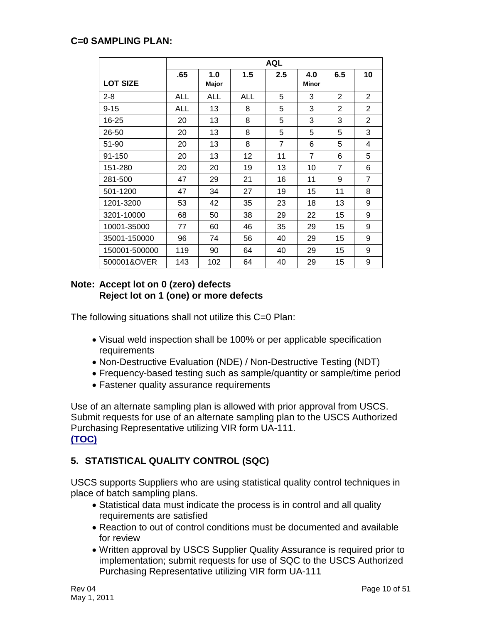#### **C=0 SAMPLING PLAN:**

|                 | <b>AQL</b> |              |            |                |                     |                |                |
|-----------------|------------|--------------|------------|----------------|---------------------|----------------|----------------|
| <b>LOT SIZE</b> | .65        | 1.0<br>Major | 1.5        | $2.5\,$        | 4.0<br><b>Minor</b> | 6.5            | 10             |
| $2 - 8$         | <b>ALL</b> | <b>ALL</b>   | <b>ALL</b> | 5              | 3                   | $\overline{2}$ | $\overline{2}$ |
| $9 - 15$        | ALL        | 13           | 8          | 5              | 3                   | $\overline{2}$ | $\mathbf{2}$   |
| 16-25           | 20         | 13           | 8          | 5              | 3                   | 3              | $\overline{2}$ |
| 26-50           | 20         | 13           | 8          | 5              | 5                   | 5              | 3              |
| 51-90           | 20         | 13           | 8          | $\overline{7}$ | 6                   | 5              | 4              |
| 91-150          | 20         | 13           | 12         | 11             | 7                   | 6              | 5              |
| 151-280         | 20         | 20           | 19         | 13             | 10                  | 7              | 6              |
| 281-500         | 47         | 29           | 21         | 16             | 11                  | 9              | $\overline{7}$ |
| 501-1200        | 47         | 34           | 27         | 19             | 15                  | 11             | 8              |
| 1201-3200       | 53         | 42           | 35         | 23             | 18                  | 13             | 9              |
| 3201-10000      | 68         | 50           | 38         | 29             | 22                  | 15             | 9              |
| 10001-35000     | 77         | 60           | 46         | 35             | 29                  | 15             | 9              |
| 35001-150000    | 96         | 74           | 56         | 40             | 29                  | 15             | 9              |
| 150001-500000   | 119        | 90           | 64         | 40             | 29                  | 15             | 9              |
| 500001&OVER     | 143        | 102          | 64         | 40             | 29                  | 15             | 9              |

#### **Note: Accept lot on 0 (zero) defects Reject lot on 1 (one) or more defects**

The following situations shall not utilize this C=0 Plan:

- Visual weld inspection shall be 100% or per applicable specification requirements
- Non-Destructive Evaluation (NDE) / Non-Destructive Testing (NDT)
- Frequency-based testing such as sample/quantity or sample/time period
- Fastener quality assurance requirements

Use of an alternate sampling plan is allowed with prior approval from USCS. Submit requests for use of an alternate sampling plan to the USCS Authorized Purchasing Representative utilizing VIR form UA-111. **[\(TOC\)](#page-2-0)**

# <span id="page-10-0"></span>**5. STATISTICAL QUALITY CONTROL (SQC)**

USCS supports Suppliers who are using statistical quality control techniques in place of batch sampling plans.

- Statistical data must indicate the process is in control and all quality requirements are satisfied
- Reaction to out of control conditions must be documented and available for review
- Written approval by USCS Supplier Quality Assurance is required prior to implementation; submit requests for use of SQC to the USCS Authorized Purchasing Representative utilizing VIR form UA-111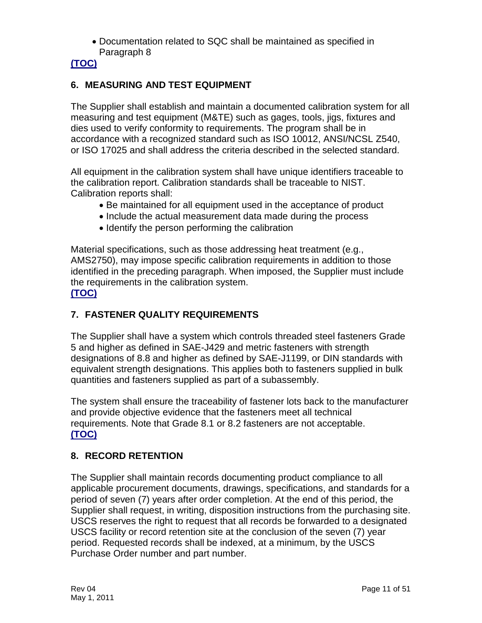• Documentation related to SQC shall be maintained as specified in Paragraph 8

# **[\(TOC\)](#page-2-0)**

## <span id="page-11-0"></span>**6. MEASURING AND TEST EQUIPMENT**

The Supplier shall establish and maintain a documented calibration system for all measuring and test equipment (M&TE) such as gages, tools, jigs, fixtures and dies used to verify conformity to requirements. The program shall be in accordance with a recognized standard such as ISO 10012, ANSI/NCSL Z540, or ISO 17025 and shall address the criteria described in the selected standard.

All equipment in the calibration system shall have unique identifiers traceable to the calibration report. Calibration standards shall be traceable to NIST. Calibration reports shall:

- Be maintained for all equipment used in the acceptance of product
- Include the actual measurement data made during the process
- Identify the person performing the calibration

Material specifications, such as those addressing heat treatment (e.g., AMS2750), may impose specific calibration requirements in addition to those identified in the preceding paragraph. When imposed, the Supplier must include the requirements in the calibration system. **[\(TOC\)](#page-2-0)**

# <span id="page-11-1"></span>**7. FASTENER QUALITY REQUIREMENTS**

The Supplier shall have a system which controls threaded steel fasteners Grade 5 and higher as defined in SAE-J429 and metric fasteners with strength designations of 8.8 and higher as defined by SAE-J1199, or DIN standards with equivalent strength designations. This applies both to fasteners supplied in bulk quantities and fasteners supplied as part of a subassembly.

The system shall ensure the traceability of fastener lots back to the manufacturer and provide objective evidence that the fasteners meet all technical requirements. Note that Grade 8.1 or 8.2 fasteners are not acceptable. **[\(TOC\)](#page-2-0)**

# <span id="page-11-2"></span>**8. RECORD RETENTION**

The Supplier shall maintain records documenting product compliance to all applicable procurement documents, drawings, specifications, and standards for a period of seven (7) years after order completion. At the end of this period, the Supplier shall request, in writing, disposition instructions from the purchasing site. USCS reserves the right to request that all records be forwarded to a designated USCS facility or record retention site at the conclusion of the seven (7) year period. Requested records shall be indexed, at a minimum, by the USCS Purchase Order number and part number.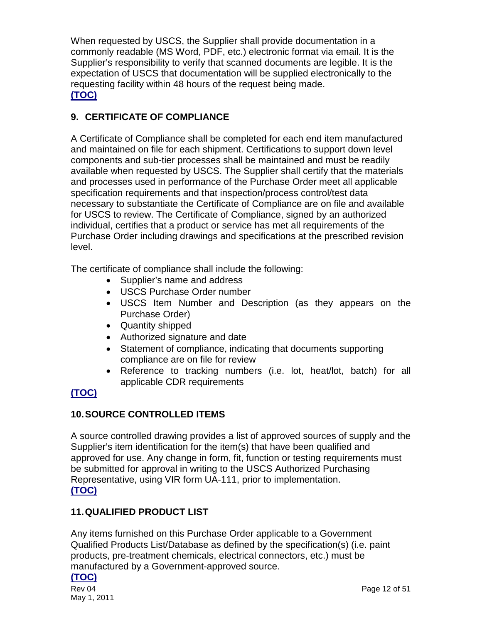When requested by USCS, the Supplier shall provide documentation in a commonly readable (MS Word, PDF, etc.) electronic format via email. It is the Supplier's responsibility to verify that scanned documents are legible. It is the expectation of USCS that documentation will be supplied electronically to the requesting facility within 48 hours of the request being made. **[\(TOC\)](#page-2-0)**

## <span id="page-12-0"></span>**9. CERTIFICATE OF COMPLIANCE**

A Certificate of Compliance shall be completed for each end item manufactured and maintained on file for each shipment. Certifications to support down level components and sub-tier processes shall be maintained and must be readily available when requested by USCS. The Supplier shall certify that the materials and processes used in performance of the Purchase Order meet all applicable specification requirements and that inspection/process control/test data necessary to substantiate the Certificate of Compliance are on file and available for USCS to review. The Certificate of Compliance, signed by an authorized individual, certifies that a product or service has met all requirements of the Purchase Order including drawings and specifications at the prescribed revision level.

The certificate of compliance shall include the following:

- Supplier's name and address
- USCS Purchase Order number
- USCS Item Number and Description (as they appears on the Purchase Order)
- Quantity shipped
- Authorized signature and date
- Statement of compliance, indicating that documents supporting compliance are on file for review
- Reference to tracking numbers (i.e. lot, heat/lot, batch) for all applicable CDR requirements

# **[\(TOC\)](#page-2-0)**

#### <span id="page-12-1"></span>**10.SOURCE CONTROLLED ITEMS**

A source controlled drawing provides a list of approved sources of supply and the Supplier's item identification for the item(s) that have been qualified and approved for use. Any change in form, fit, function or testing requirements must be submitted for approval in writing to the USCS Authorized Purchasing Representative, using VIR form UA-111, prior to implementation. **[\(TOC\)](#page-2-0)**

#### <span id="page-12-2"></span>**11.QUALIFIED PRODUCT LIST**

Any items furnished on this Purchase Order applicable to a Government Qualified Products List/Database as defined by the specification(s) (i.e. paint products, pre-treatment chemicals, electrical connectors, etc.) must be manufactured by a Government-approved source.

#### **[\(TOC\)](#page-2-0)**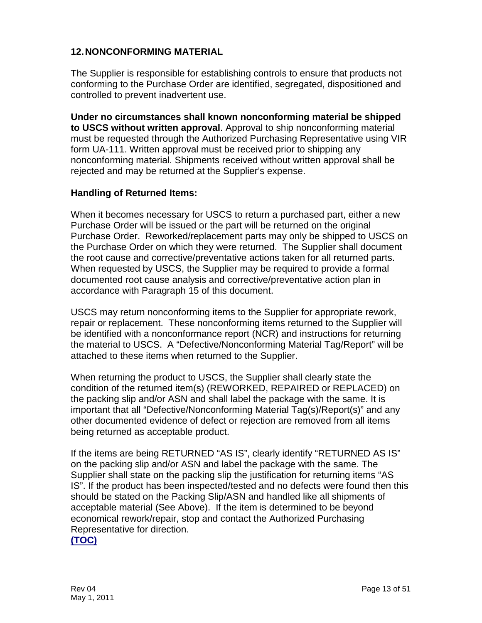#### <span id="page-13-0"></span>**12.NONCONFORMING MATERIAL**

The Supplier is responsible for establishing controls to ensure that products not conforming to the Purchase Order are identified, segregated, dispositioned and controlled to prevent inadvertent use.

**Under no circumstances shall known nonconforming material be shipped to USCS without written approval**. Approval to ship nonconforming material must be requested through the Authorized Purchasing Representative using VIR form UA-111. Written approval must be received prior to shipping any nonconforming material. Shipments received without written approval shall be rejected and may be returned at the Supplier's expense.

#### **Handling of Returned Items:**

When it becomes necessary for USCS to return a purchased part, either a new Purchase Order will be issued or the part will be returned on the original Purchase Order. Reworked/replacement parts may only be shipped to USCS on the Purchase Order on which they were returned. The Supplier shall document the root cause and corrective/preventative actions taken for all returned parts. When requested by USCS, the Supplier may be required to provide a formal documented root cause analysis and corrective/preventative action plan in accordance with Paragraph 15 of this document.

USCS may return nonconforming items to the Supplier for appropriate rework, repair or replacement. These nonconforming items returned to the Supplier will be identified with a nonconformance report (NCR) and instructions for returning the material to USCS. A "Defective/Nonconforming Material Tag/Report" will be attached to these items when returned to the Supplier.

When returning the product to USCS, the Supplier shall clearly state the condition of the returned item(s) (REWORKED, REPAIRED or REPLACED) on the packing slip and/or ASN and shall label the package with the same. It is important that all "Defective/Nonconforming Material Tag(s)/Report(s)" and any other documented evidence of defect or rejection are removed from all items being returned as acceptable product.

If the items are being RETURNED "AS IS", clearly identify "RETURNED AS IS" on the packing slip and/or ASN and label the package with the same. The Supplier shall state on the packing slip the justification for returning items "AS IS". If the product has been inspected/tested and no defects were found then this should be stated on the Packing Slip/ASN and handled like all shipments of acceptable material (See Above). If the item is determined to be beyond economical rework/repair, stop and contact the Authorized Purchasing Representative for direction.

**[\(TOC\)](#page-2-0)**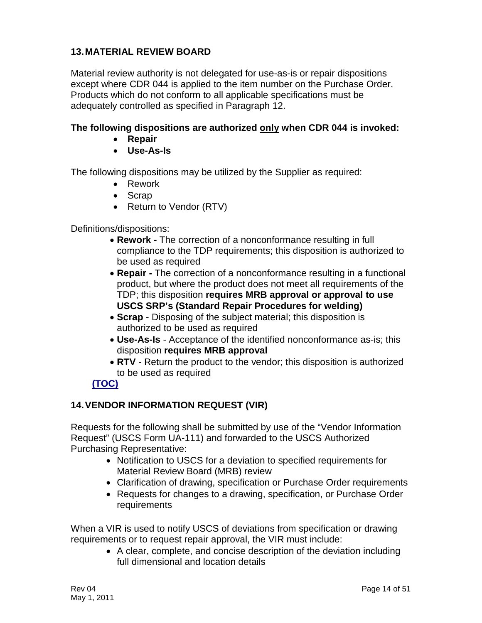## <span id="page-14-0"></span>**13.MATERIAL REVIEW BOARD**

Material review authority is not delegated for use-as-is or repair dispositions except where CDR 044 is applied to the item number on the Purchase Order. Products which do not conform to all applicable specifications must be adequately controlled as specified in Paragraph 12.

#### **The following dispositions are authorized only when CDR 044 is invoked:**

- **Repair**
- **Use-As-Is**

The following dispositions may be utilized by the Supplier as required:

- Rework
- Scrap
- Return to Vendor (RTV)

Definitions/dispositions:

- **Rework -** The correction of a nonconformance resulting in full compliance to the TDP requirements; this disposition is authorized to be used as required
- **Repair -** The correction of a nonconformance resulting in a functional product, but where the product does not meet all requirements of the TDP; this disposition **requires MRB approval or approval to use USCS SRP's (Standard Repair Procedures for welding)**
- **Scrap** Disposing of the subject material; this disposition is authorized to be used as required
- **Use-As-Is** Acceptance of the identified nonconformance as-is; this disposition **requires MRB approval**
- **RTV** Return the product to the vendor; this disposition is authorized to be used as required

# **[\(TOC\)](#page-2-0)**

#### <span id="page-14-1"></span>**14.VENDOR INFORMATION REQUEST (VIR)**

Requests for the following shall be submitted by use of the "Vendor Information Request" (USCS Form UA-111) and forwarded to the USCS Authorized Purchasing Representative:

- Notification to USCS for a deviation to specified requirements for Material Review Board (MRB) review
- Clarification of drawing, specification or Purchase Order requirements
- Requests for changes to a drawing, specification, or Purchase Order requirements

When a VIR is used to notify USCS of deviations from specification or drawing requirements or to request repair approval, the VIR must include:

> • A clear, complete, and concise description of the deviation including full dimensional and location details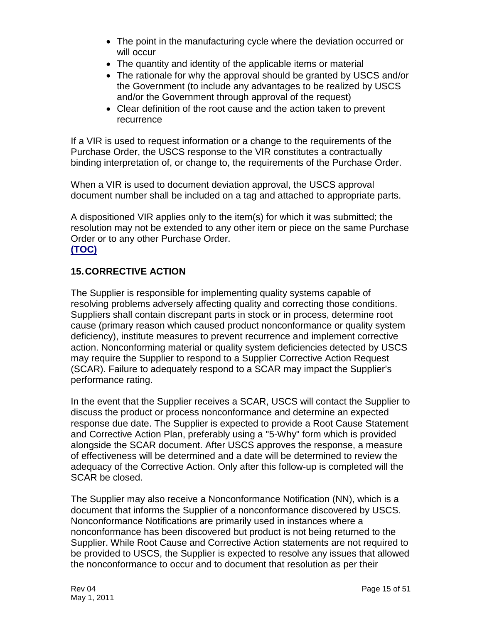- The point in the manufacturing cycle where the deviation occurred or will occur
- The quantity and identity of the applicable items or material
- The rationale for why the approval should be granted by USCS and/or the Government (to include any advantages to be realized by USCS and/or the Government through approval of the request)
- Clear definition of the root cause and the action taken to prevent recurrence

If a VIR is used to request information or a change to the requirements of the Purchase Order, the USCS response to the VIR constitutes a contractually binding interpretation of, or change to, the requirements of the Purchase Order.

When a VIR is used to document deviation approval, the USCS approval document number shall be included on a tag and attached to appropriate parts.

A dispositioned VIR applies only to the item(s) for which it was submitted; the resolution may not be extended to any other item or piece on the same Purchase Order or to any other Purchase Order.

#### **[\(TOC\)](#page-2-0)**

## <span id="page-15-0"></span>**15.CORRECTIVE ACTION**

The Supplier is responsible for implementing quality systems capable of resolving problems adversely affecting quality and correcting those conditions. Suppliers shall contain discrepant parts in stock or in process, determine root cause (primary reason which caused product nonconformance or quality system deficiency), institute measures to prevent recurrence and implement corrective action. Nonconforming material or quality system deficiencies detected by USCS may require the Supplier to respond to a Supplier Corrective Action Request (SCAR). Failure to adequately respond to a SCAR may impact the Supplier's performance rating.

In the event that the Supplier receives a SCAR, USCS will contact the Supplier to discuss the product or process nonconformance and determine an expected response due date. The Supplier is expected to provide a Root Cause Statement and Corrective Action Plan, preferably using a "5-Why" form which is provided alongside the SCAR document. After USCS approves the response, a measure of effectiveness will be determined and a date will be determined to review the adequacy of the Corrective Action. Only after this follow-up is completed will the SCAR be closed.

The Supplier may also receive a Nonconformance Notification (NN), which is a document that informs the Supplier of a nonconformance discovered by USCS. Nonconformance Notifications are primarily used in instances where a nonconformance has been discovered but product is not being returned to the Supplier. While Root Cause and Corrective Action statements are not required to be provided to USCS, the Supplier is expected to resolve any issues that allowed the nonconformance to occur and to document that resolution as per their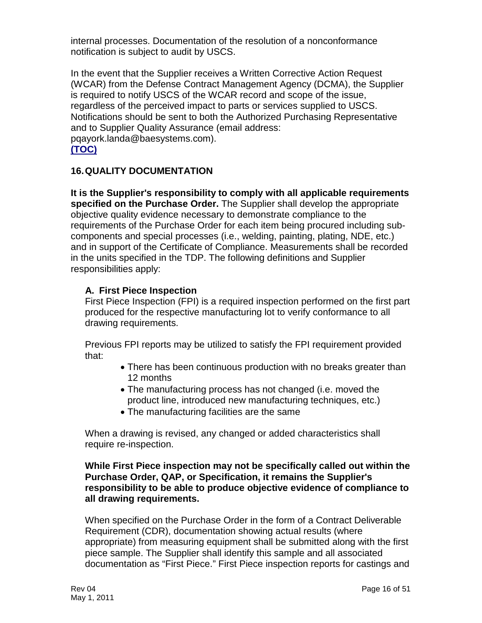internal processes. Documentation of the resolution of a nonconformance notification is subject to audit by USCS.

In the event that the Supplier receives a Written Corrective Action Request (WCAR) from the Defense Contract Management Agency (DCMA), the Supplier is required to notify USCS of the WCAR record and scope of the issue, regardless of the perceived impact to parts or services supplied to USCS. Notifications should be sent to both the Authorized Purchasing Representative and to Supplier Quality Assurance (email address: [pqayork.landa@baesystems.com\)](mailto:pqayork.landa@baesystems.com). **[\(TOC\)](#page-2-0)**

#### <span id="page-16-0"></span>**16.QUALITY DOCUMENTATION**

**It is the Supplier's responsibility to comply with all applicable requirements specified on the Purchase Order.** The Supplier shall develop the appropriate objective quality evidence necessary to demonstrate compliance to the requirements of the Purchase Order for each item being procured including subcomponents and special processes (i.e., welding, painting, plating, NDE, etc.) and in support of the Certificate of Compliance. Measurements shall be recorded in the units specified in the TDP. The following definitions and Supplier responsibilities apply:

#### <span id="page-16-1"></span>**A. First Piece Inspection**

First Piece Inspection (FPI) is a required inspection performed on the first part produced for the respective manufacturing lot to verify conformance to all drawing requirements.

Previous FPI reports may be utilized to satisfy the FPI requirement provided that:

- There has been continuous production with no breaks greater than 12 months
- The manufacturing process has not changed (i.e. moved the product line, introduced new manufacturing techniques, etc.)
- The manufacturing facilities are the same

When a drawing is revised, any changed or added characteristics shall require re-inspection.

#### **While First Piece inspection may not be specifically called out within the Purchase Order, QAP, or Specification, it remains the Supplier's responsibility to be able to produce objective evidence of compliance to all drawing requirements.**

When specified on the Purchase Order in the form of a Contract Deliverable Requirement (CDR), documentation showing actual results (where appropriate) from measuring equipment shall be submitted along with the first piece sample. The Supplier shall identify this sample and all associated documentation as "First Piece." First Piece inspection reports for castings and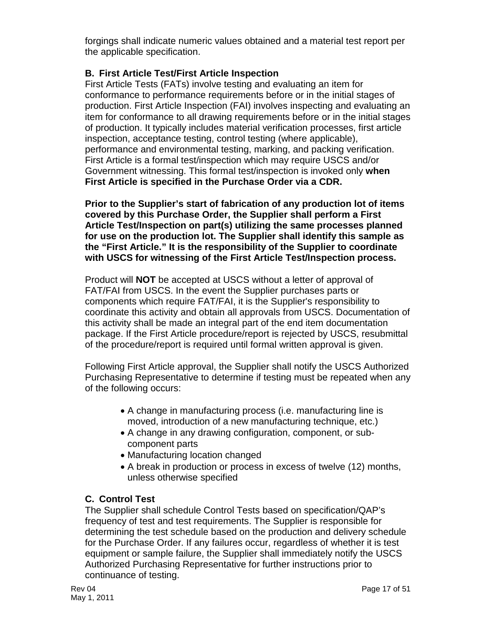forgings shall indicate numeric values obtained and a material test report per the applicable specification.

## <span id="page-17-0"></span>**B. First Article Test/First Article Inspection**

First Article Tests (FATs) involve testing and evaluating an item for conformance to performance requirements before or in the initial stages of production. First Article Inspection (FAI) involves inspecting and evaluating an item for conformance to all drawing requirements before or in the initial stages of production. It typically includes material verification processes, first article inspection, acceptance testing, control testing (where applicable), performance and environmental testing, marking, and packing verification. First Article is a formal test/inspection which may require USCS and/or Government witnessing. This formal test/inspection is invoked only **when First Article is specified in the Purchase Order via a CDR.**

**Prior to the Supplier's start of fabrication of any production lot of items covered by this Purchase Order, the Supplier shall perform a First Article Test/Inspection on part(s) utilizing the same processes planned for use on the production lot. The Supplier shall identify this sample as the "First Article." It is the responsibility of the Supplier to coordinate with USCS for witnessing of the First Article Test/Inspection process.** 

Product will **NOT** be accepted at USCS without a letter of approval of FAT/FAI from USCS. In the event the Supplier purchases parts or components which require FAT/FAI, it is the Supplier's responsibility to coordinate this activity and obtain all approvals from USCS. Documentation of this activity shall be made an integral part of the end item documentation package. If the First Article procedure/report is rejected by USCS, resubmittal of the procedure/report is required until formal written approval is given.

Following First Article approval, the Supplier shall notify the USCS Authorized Purchasing Representative to determine if testing must be repeated when any of the following occurs:

- A change in manufacturing process (i.e. manufacturing line is moved, introduction of a new manufacturing technique, etc.)
- A change in any drawing configuration, component, or subcomponent parts
- Manufacturing location changed
- A break in production or process in excess of twelve (12) months, unless otherwise specified

# <span id="page-17-1"></span>**C. Control Test**

The Supplier shall schedule Control Tests based on specification/QAP's frequency of test and test requirements. The Supplier is responsible for determining the test schedule based on the production and delivery schedule for the Purchase Order. If any failures occur, regardless of whether it is test equipment or sample failure, the Supplier shall immediately notify the USCS Authorized Purchasing Representative for further instructions prior to continuance of testing.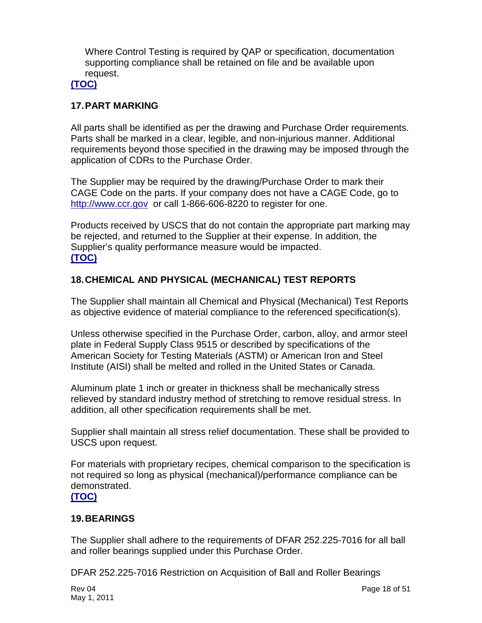Where Control Testing is required by QAP or specification, documentation supporting compliance shall be retained on file and be available upon request.

## **[\(TOC\)](#page-2-0)**

#### <span id="page-18-0"></span>**17.PART MARKING**

All parts shall be identified as per the drawing and Purchase Order requirements. Parts shall be marked in a clear, legible, and non-injurious manner. Additional requirements beyond those specified in the drawing may be imposed through the application of CDRs to the Purchase Order.

The Supplier may be required by the drawing/Purchase Order to mark their CAGE Code on the parts. If your company does not have a CAGE Code, go to [http://www.ccr.gov](http://www.ccr.gov/) or call 1-866-606-8220 to register for one.

Products received by USCS that do not contain the appropriate part marking may be rejected, and returned to the Supplier at their expense. In addition, the Supplier's quality performance measure would be impacted. **[\(TOC\)](#page-2-0)**

#### <span id="page-18-1"></span>**18.CHEMICAL AND PHYSICAL (MECHANICAL) TEST REPORTS**

The Supplier shall maintain all Chemical and Physical (Mechanical) Test Reports as objective evidence of material compliance to the referenced specification(s).

Unless otherwise specified in the Purchase Order, carbon, alloy, and armor steel plate in Federal Supply Class 9515 or described by specifications of the American Society for Testing Materials (ASTM) or American Iron and Steel Institute (AISI) shall be melted and rolled in the United States or Canada.

Aluminum plate 1 inch or greater in thickness shall be mechanically stress relieved by standard industry method of stretching to remove residual stress. In addition, all other specification requirements shall be met.

Supplier shall maintain all stress relief documentation. These shall be provided to USCS upon request.

For materials with proprietary recipes, chemical comparison to the specification is not required so long as physical (mechanical)/performance compliance can be demonstrated.

#### **[\(TOC\)](#page-2-0)**

#### <span id="page-18-2"></span>**19.BEARINGS**

The Supplier shall adhere to the requirements of DFAR 252.225-7016 for all ball and roller bearings supplied under this Purchase Order.

DFAR 252.225-7016 Restriction on Acquisition of Ball and Roller Bearings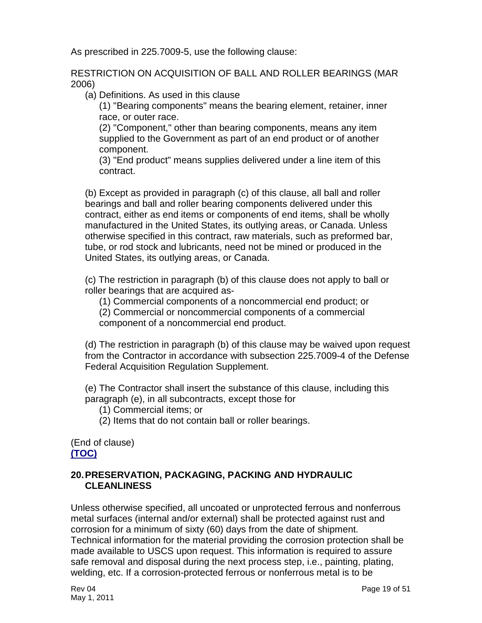As prescribed in 225.7009-5, use the following clause:

RESTRICTION ON ACQUISITION OF BALL AND ROLLER BEARINGS (MAR 2006)

(a) Definitions. As used in this clause

(1) "Bearing components" means the bearing element, retainer, inner race, or outer race.

(2) "Component," other than bearing components, means any item supplied to the Government as part of an end product or of another component.

(3) "End product" means supplies delivered under a line item of this contract.

(b) Except as provided in paragraph (c) of this clause, all ball and roller bearings and ball and roller bearing components delivered under this contract, either as end items or components of end items, shall be wholly manufactured in the United States, its outlying areas, or Canada. Unless otherwise specified in this contract, raw materials, such as preformed bar, tube, or rod stock and lubricants, need not be mined or produced in the United States, its outlying areas, or Canada.

(c) The restriction in paragraph (b) of this clause does not apply to ball or roller bearings that are acquired as-

(1) Commercial components of a noncommercial end product; or (2) Commercial or noncommercial components of a commercial component of a noncommercial end product.

(d) The restriction in paragraph (b) of this clause may be waived upon request from the Contractor in accordance with subsection 225.7009-4 of the Defense Federal Acquisition Regulation Supplement.

(e) The Contractor shall insert the substance of this clause, including this paragraph (e), in all subcontracts, except those for

- (1) Commercial items; or
- (2) Items that do not contain ball or roller bearings.

(End of clause) **[\(TOC\)](#page-2-0)**

#### <span id="page-19-0"></span>**20.PRESERVATION, PACKAGING, PACKING AND HYDRAULIC CLEANLINESS**

Unless otherwise specified, all uncoated or unprotected ferrous and nonferrous metal surfaces (internal and/or external) shall be protected against rust and corrosion for a minimum of sixty (60) days from the date of shipment. Technical information for the material providing the corrosion protection shall be made available to USCS upon request. This information is required to assure safe removal and disposal during the next process step, i.e., painting, plating, welding, etc. If a corrosion-protected ferrous or nonferrous metal is to be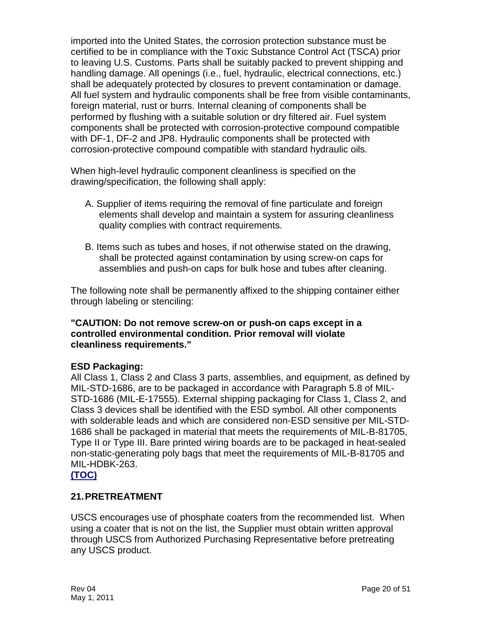imported into the United States, the corrosion protection substance must be certified to be in compliance with the Toxic Substance Control Act (TSCA) prior to leaving U.S. Customs. Parts shall be suitably packed to prevent shipping and handling damage. All openings (i.e., fuel, hydraulic, electrical connections, etc.) shall be adequately protected by closures to prevent contamination or damage. All fuel system and hydraulic components shall be free from visible contaminants, foreign material, rust or burrs. Internal cleaning of components shall be performed by flushing with a suitable solution or dry filtered air. Fuel system components shall be protected with corrosion-protective compound compatible with DF-1, DF-2 and JP8. Hydraulic components shall be protected with corrosion-protective compound compatible with standard hydraulic oils.

When high-level hydraulic component cleanliness is specified on the drawing/specification, the following shall apply:

- A. Supplier of items requiring the removal of fine particulate and foreign elements shall develop and maintain a system for assuring cleanliness quality complies with contract requirements.
- B. Items such as tubes and hoses, if not otherwise stated on the drawing, shall be protected against contamination by using screw-on caps for assemblies and push-on caps for bulk hose and tubes after cleaning.

The following note shall be permanently affixed to the shipping container either through labeling or stenciling:

#### **"CAUTION: Do not remove screw-on or push-on caps except in a controlled environmental condition. Prior removal will violate cleanliness requirements."**

#### **ESD Packaging:**

All Class 1, Class 2 and Class 3 parts, assemblies, and equipment, as defined by MIL-STD-1686, are to be packaged in accordance with Paragraph 5.8 of MIL-STD-1686 (MIL-E-17555). External shipping packaging for Class 1, Class 2, and Class 3 devices shall be identified with the ESD symbol. All other components with solderable leads and which are considered non-ESD sensitive per MIL-STD-1686 shall be packaged in material that meets the requirements of MIL-B-81705, Type II or Type III. Bare printed wiring boards are to be packaged in heat-sealed non-static-generating poly bags that meet the requirements of MIL-B-81705 and MIL-HDBK-263.

#### **[\(TOC\)](#page-2-0)**

#### <span id="page-20-0"></span>**21.PRETREATMENT**

USCS encourages use of phosphate coaters from the recommended list. When using a coater that is not on the list, the Supplier must obtain written approval through USCS from Authorized Purchasing Representative before pretreating any USCS product.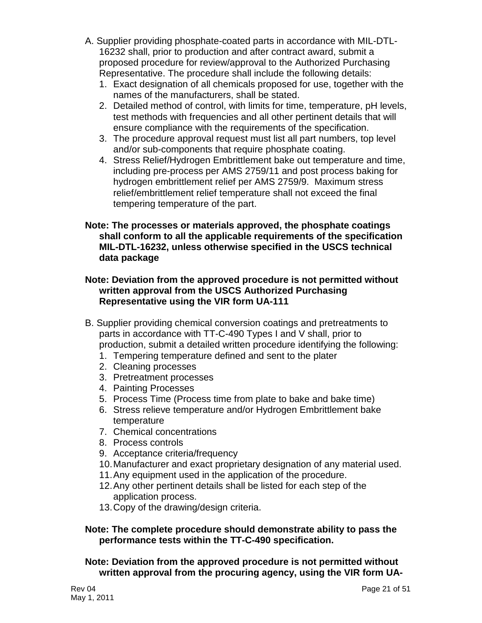- A. Supplier providing phosphate-coated parts in accordance with MIL-DTL-16232 shall, prior to production and after contract award, submit a proposed procedure for review/approval to the Authorized Purchasing Representative. The procedure shall include the following details:
	- 1. Exact designation of all chemicals proposed for use, together with the names of the manufacturers, shall be stated.
	- 2. Detailed method of control, with limits for time, temperature, pH levels, test methods with frequencies and all other pertinent details that will ensure compliance with the requirements of the specification.
	- 3. The procedure approval request must list all part numbers, top level and/or sub-components that require phosphate coating.
	- 4. Stress Relief/Hydrogen Embrittlement bake out temperature and time, including pre-process per AMS 2759/11 and post process baking for hydrogen embrittlement relief per AMS 2759/9. Maximum stress relief/embrittlement relief temperature shall not exceed the final tempering temperature of the part.
- **Note: The processes or materials approved, the phosphate coatings shall conform to all the applicable requirements of the specification MIL-DTL-16232, unless otherwise specified in the USCS technical data package**

#### **Note: Deviation from the approved procedure is not permitted without written approval from the USCS Authorized Purchasing Representative using the VIR form UA-111**

- B. Supplier providing chemical conversion coatings and pretreatments to parts in accordance with TT-C-490 Types I and V shall, prior to production, submit a detailed written procedure identifying the following:
	- 1. Tempering temperature defined and sent to the plater
	- 2. Cleaning processes
	- 3. Pretreatment processes
	- 4. Painting Processes
	- 5. Process Time (Process time from plate to bake and bake time)
	- 6. Stress relieve temperature and/or Hydrogen Embrittlement bake temperature
	- 7. Chemical concentrations
	- 8. Process controls
	- 9. Acceptance criteria/frequency
	- 10.Manufacturer and exact proprietary designation of any material used.
	- 11.Any equipment used in the application of the procedure.
	- 12.Any other pertinent details shall be listed for each step of the application process.
	- 13.Copy of the drawing/design criteria.

#### **Note: The complete procedure should demonstrate ability to pass the performance tests within the TT-C-490 specification.**

**Note: Deviation from the approved procedure is not permitted without written approval from the procuring agency, using the VIR form UA-**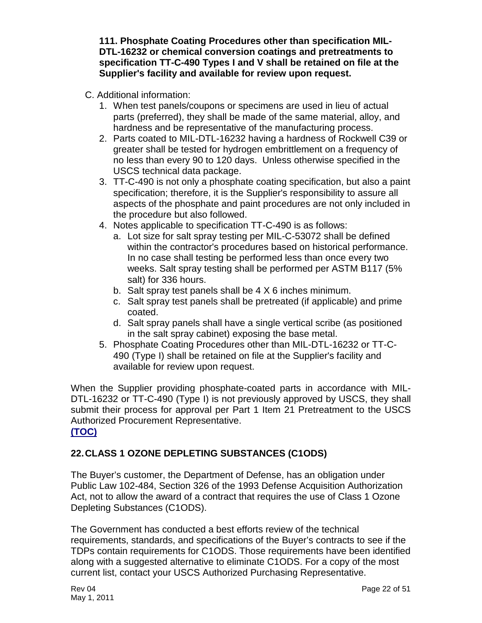**111. Phosphate Coating Procedures other than specification MIL-DTL-16232 or chemical conversion coatings and pretreatments to specification TT-C-490 Types I and V shall be retained on file at the Supplier's facility and available for review upon request.**

- C. Additional information:
	- 1. When test panels/coupons or specimens are used in lieu of actual parts (preferred), they shall be made of the same material, alloy, and hardness and be representative of the manufacturing process.
	- 2. Parts coated to MIL-DTL-16232 having a hardness of Rockwell C39 or greater shall be tested for hydrogen embrittlement on a frequency of no less than every 90 to 120 days. Unless otherwise specified in the USCS technical data package.
	- 3. TT-C-490 is not only a phosphate coating specification, but also a paint specification; therefore, it is the Supplier's responsibility to assure all aspects of the phosphate and paint procedures are not only included in the procedure but also followed.
	- 4. Notes applicable to specification TT-C-490 is as follows:
		- a. Lot size for salt spray testing per MIL-C-53072 shall be defined within the contractor's procedures based on historical performance. In no case shall testing be performed less than once every two weeks. Salt spray testing shall be performed per ASTM B117 (5% salt) for 336 hours.
		- b. Salt spray test panels shall be 4 X 6 inches minimum.
		- c. Salt spray test panels shall be pretreated (if applicable) and prime coated.
		- d. Salt spray panels shall have a single vertical scribe (as positioned in the salt spray cabinet) exposing the base metal.
	- 5. Phosphate Coating Procedures other than MIL-DTL-16232 or TT-C-490 (Type I) shall be retained on file at the Supplier's facility and available for review upon request.

When the Supplier providing phosphate-coated parts in accordance with MIL-DTL-16232 or TT-C-490 (Type I) is not previously approved by USCS, they shall submit their process for approval per Part 1 Item 21 Pretreatment to the USCS Authorized Procurement Representative. **[\(TOC\)](#page-2-0)**

# <span id="page-22-0"></span>**22.CLASS 1 OZONE DEPLETING SUBSTANCES (C1ODS)**

The Buyer's customer, the Department of Defense, has an obligation under Public Law 102-484, Section 326 of the 1993 Defense Acquisition Authorization Act, not to allow the award of a contract that requires the use of Class 1 Ozone Depleting Substances (C1ODS).

The Government has conducted a best efforts review of the technical requirements, standards, and specifications of the Buyer's contracts to see if the TDPs contain requirements for C1ODS. Those requirements have been identified along with a suggested alternative to eliminate C1ODS. For a copy of the most current list, contact your USCS Authorized Purchasing Representative.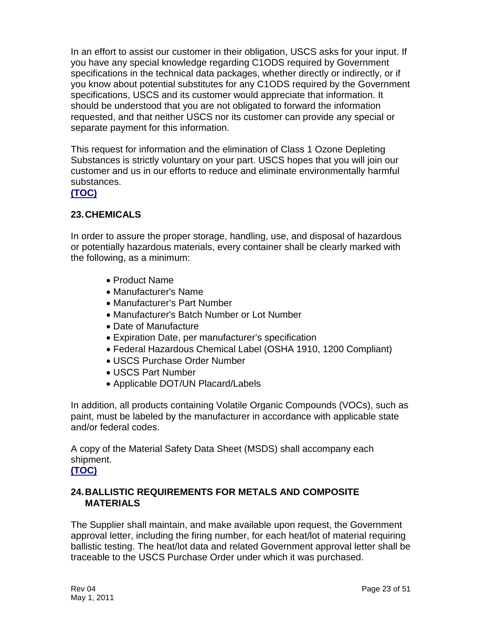In an effort to assist our customer in their obligation, USCS asks for your input. If you have any special knowledge regarding C1ODS required by Government specifications in the technical data packages, whether directly or indirectly, or if you know about potential substitutes for any C1ODS required by the Government specifications, USCS and its customer would appreciate that information. It should be understood that you are not obligated to forward the information requested, and that neither USCS nor its customer can provide any special or separate payment for this information.

This request for information and the elimination of Class 1 Ozone Depleting Substances is strictly voluntary on your part. USCS hopes that you will join our customer and us in our efforts to reduce and eliminate environmentally harmful substances.

#### **[\(TOC\)](#page-2-0)**

#### <span id="page-23-0"></span>**23.CHEMICALS**

In order to assure the proper storage, handling, use, and disposal of hazardous or potentially hazardous materials, every container shall be clearly marked with the following, as a minimum:

- Product Name
- Manufacturer's Name
- Manufacturer's Part Number
- Manufacturer's Batch Number or Lot Number
- Date of Manufacture
- Expiration Date, per manufacturer's specification
- Federal Hazardous Chemical Label (OSHA 1910, 1200 Compliant)
- USCS Purchase Order Number
- USCS Part Number
- Applicable DOT/UN Placard/Labels

In addition, all products containing Volatile Organic Compounds (VOCs), such as paint, must be labeled by the manufacturer in accordance with applicable state and/or federal codes.

A copy of the Material Safety Data Sheet (MSDS) shall accompany each shipment.

### **[\(TOC\)](#page-2-0)**

#### <span id="page-23-1"></span>**24.BALLISTIC REQUIREMENTS FOR METALS AND COMPOSITE MATERIALS**

The Supplier shall maintain, and make available upon request, the Government approval letter, including the firing number, for each heat/lot of material requiring ballistic testing. The heat/lot data and related Government approval letter shall be traceable to the USCS Purchase Order under which it was purchased.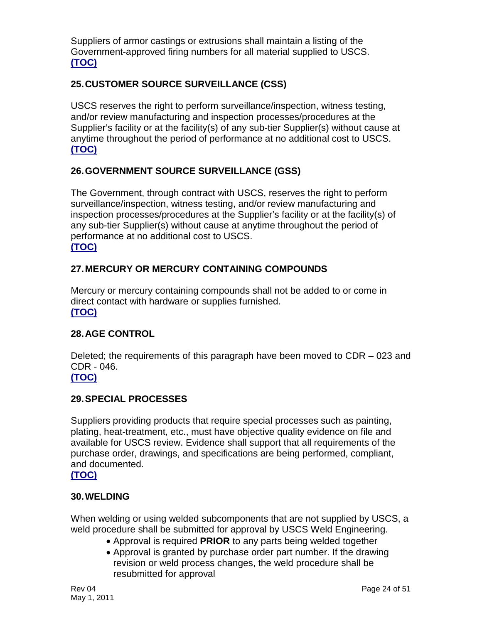Suppliers of armor castings or extrusions shall maintain a listing of the Government-approved firing numbers for all material supplied to USCS. **[\(TOC\)](#page-2-0)**

## <span id="page-24-0"></span>**25.CUSTOMER SOURCE SURVEILLANCE (CSS)**

USCS reserves the right to perform surveillance/inspection, witness testing, and/or review manufacturing and inspection processes/procedures at the Supplier's facility or at the facility(s) of any sub-tier Supplier(s) without cause at anytime throughout the period of performance at no additional cost to USCS. **[\(TOC\)](#page-2-0)**

#### <span id="page-24-1"></span>**26.GOVERNMENT SOURCE SURVEILLANCE (GSS)**

The Government, through contract with USCS, reserves the right to perform surveillance/inspection, witness testing, and/or review manufacturing and inspection processes/procedures at the Supplier's facility or at the facility(s) of any sub-tier Supplier(s) without cause at anytime throughout the period of performance at no additional cost to USCS. **[\(TOC\)](#page-2-0)**

## <span id="page-24-2"></span>**27.MERCURY OR MERCURY CONTAINING COMPOUNDS**

Mercury or mercury containing compounds shall not be added to or come in direct contact with hardware or supplies furnished. **[\(TOC\)](#page-2-0)**

#### <span id="page-24-3"></span>**28.AGE CONTROL**

Deleted; the requirements of this paragraph have been moved to CDR – 023 and CDR - 046. **[\(TOC\)](#page-2-0)**

#### <span id="page-24-4"></span>**29.SPECIAL PROCESSES**

Suppliers providing products that require special processes such as painting, plating, heat-treatment, etc., must have objective quality evidence on file and available for USCS review. Evidence shall support that all requirements of the purchase order, drawings, and specifications are being performed, compliant, and documented.

#### **[\(TOC\)](#page-2-0)**

#### <span id="page-24-5"></span>**30.WELDING**

When welding or using welded subcomponents that are not supplied by USCS, a weld procedure shall be submitted for approval by USCS Weld Engineering.

- Approval is required **PRIOR** to any parts being welded together
- Approval is granted by purchase order part number. If the drawing revision or weld process changes, the weld procedure shall be resubmitted for approval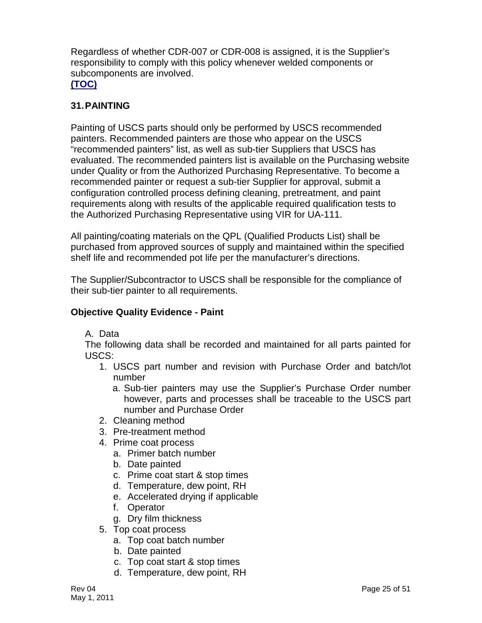Regardless of whether CDR-007 or CDR-008 is assigned, it is the Supplier's responsibility to comply with this policy whenever welded components or subcomponents are involved. **[\(TOC\)](#page-2-0)**

#### <span id="page-25-0"></span>**31.PAINTING**

Painting of USCS parts should only be performed by USCS recommended painters. Recommended painters are those who appear on the USCS "recommended painters" list, as well as sub-tier Suppliers that USCS has evaluated. The recommended painters list is available on the Purchasing website under Quality or from the Authorized Purchasing Representative. To become a recommended painter or request a sub-tier Supplier for approval, submit a configuration controlled process defining cleaning, pretreatment, and paint requirements along with results of the applicable required qualification tests to the Authorized Purchasing Representative using VIR for UA-111.

All painting/coating materials on the QPL (Qualified Products List) shall be purchased from approved sources of supply and maintained within the specified shelf life and recommended pot life per the manufacturer's directions.

The Supplier/Subcontractor to USCS shall be responsible for the compliance of their sub-tier painter to all requirements.

#### **Objective Quality Evidence - Paint**

A. Data

The following data shall be recorded and maintained for all parts painted for USCS:

- 1. USCS part number and revision with Purchase Order and batch/lot number
	- a. Sub-tier painters may use the Supplier's Purchase Order number however, parts and processes shall be traceable to the USCS part number and Purchase Order
- 2. Cleaning method
- 3. Pre-treatment method
- 4. Prime coat process
	- a. Primer batch number
	- b. Date painted
	- c. Prime coat start & stop times
	- d. Temperature, dew point, RH
	- e. Accelerated drying if applicable
	- f. Operator
	- g. Dry film thickness
- 5. Top coat process
	- a. Top coat batch number
	- b. Date painted
	- c. Top coat start & stop times
	- d. Temperature, dew point, RH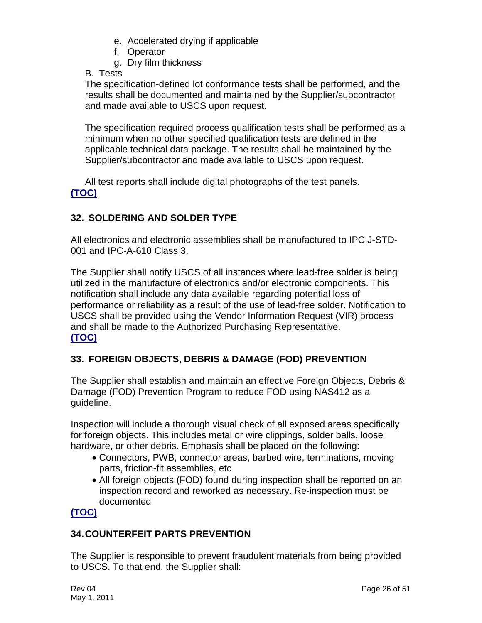- e. Accelerated drying if applicable
- f. Operator
- g. Dry film thickness

B. Tests

The specification-defined lot conformance tests shall be performed, and the results shall be documented and maintained by the Supplier/subcontractor and made available to USCS upon request.

The specification required process qualification tests shall be performed as a minimum when no other specified qualification tests are defined in the applicable technical data package. The results shall be maintained by the Supplier/subcontractor and made available to USCS upon request.

All test reports shall include digital photographs of the test panels. **[\(TOC\)](#page-2-0)**

# <span id="page-26-0"></span>**32. SOLDERING AND SOLDER TYPE**

All electronics and electronic assemblies shall be manufactured to IPC J-STD-001 and IPC-A-610 Class 3.

The Supplier shall notify USCS of all instances where lead-free solder is being utilized in the manufacture of electronics and/or electronic components. This notification shall include any data available regarding potential loss of performance or reliability as a result of the use of lead-free solder. Notification to USCS shall be provided using the Vendor Information Request (VIR) process and shall be made to the Authorized Purchasing Representative. **[\(TOC\)](#page-2-0)**

# <span id="page-26-1"></span>**33. FOREIGN OBJECTS, DEBRIS & DAMAGE (FOD) PREVENTION**

The Supplier shall establish and maintain an effective Foreign Objects, Debris & Damage (FOD) Prevention Program to reduce FOD using NAS412 as a guideline.

Inspection will include a thorough visual check of all exposed areas specifically for foreign objects. This includes metal or wire clippings, solder balls, loose hardware, or other debris. Emphasis shall be placed on the following:

- Connectors, PWB, connector areas, barbed wire, terminations, moving parts, friction-fit assemblies, etc
- All foreign objects (FOD) found during inspection shall be reported on an inspection record and reworked as necessary. Re-inspection must be documented

# **[\(TOC\)](#page-2-0)**

# <span id="page-26-2"></span>**34.COUNTERFEIT PARTS PREVENTION**

The Supplier is responsible to prevent fraudulent materials from being provided to USCS. To that end, the Supplier shall: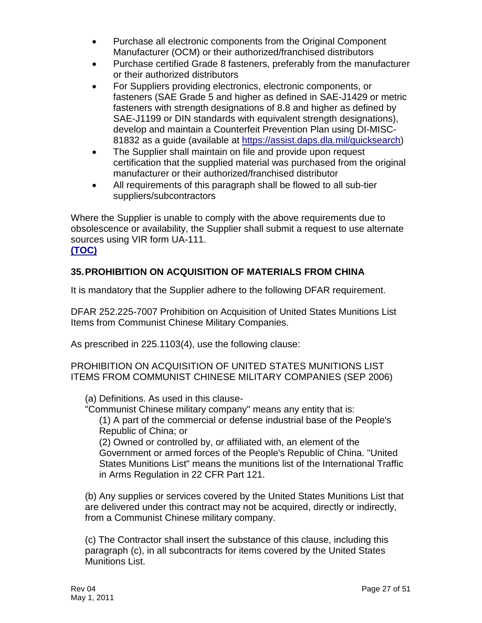- Purchase all electronic components from the Original Component Manufacturer (OCM) or their authorized/franchised distributors
- Purchase certified Grade 8 fasteners, preferably from the manufacturer or their authorized distributors
- For Suppliers providing electronics, electronic components, or fasteners (SAE Grade 5 and higher as defined in SAE-J1429 or metric fasteners with strength designations of 8.8 and higher as defined by SAE-J1199 or DIN standards with equivalent strength designations), develop and maintain a Counterfeit Prevention Plan using DI-MISC-81832 as a guide (available at [https://assist.daps.dla.mil/quicksearch\)](https://assist.daps.dla.mil/quicksearch)
- The Supplier shall maintain on file and provide upon request certification that the supplied material was purchased from the original manufacturer or their authorized/franchised distributor
- All requirements of this paragraph shall be flowed to all sub-tier suppliers/subcontractors

Where the Supplier is unable to comply with the above requirements due to obsolescence or availability, the Supplier shall submit a request to use alternate sources using VIR form UA-111.

#### **[\(TOC\)](#page-2-0)**

## <span id="page-27-0"></span>**35.PROHIBITION ON ACQUISITION OF MATERIALS FROM CHINA**

It is mandatory that the Supplier adhere to the following DFAR requirement.

DFAR 252.225-7007 Prohibition on Acquisition of United States Munitions List Items from Communist Chinese Military Companies.

As prescribed in 225.1103(4), use the following clause:

PROHIBITION ON ACQUISITION OF UNITED STATES MUNITIONS LIST ITEMS FROM COMMUNIST CHINESE MILITARY COMPANIES (SEP 2006)

(a) Definitions. As used in this clause-

"Communist Chinese military company" means any entity that is:

(1) A part of the commercial or defense industrial base of the People's Republic of China; or

(2) Owned or controlled by, or affiliated with, an element of the Government or armed forces of the People's Republic of China. "United States Munitions List" means the munitions list of the International Traffic in Arms Regulation in 22 CFR Part 121.

(b) Any supplies or services covered by the United States Munitions List that are delivered under this contract may not be acquired, directly or indirectly, from a Communist Chinese military company.

(c) The Contractor shall insert the substance of this clause, including this paragraph (c), in all subcontracts for items covered by the United States Munitions List.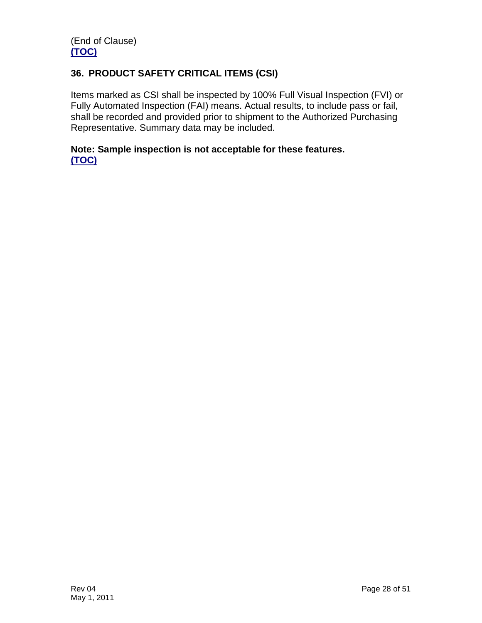## <span id="page-28-0"></span>**36. PRODUCT SAFETY CRITICAL ITEMS (CSI)**

Items marked as CSI shall be inspected by 100% Full Visual Inspection (FVI) or Fully Automated Inspection (FAI) means. Actual results, to include pass or fail, shall be recorded and provided prior to shipment to the Authorized Purchasing Representative. Summary data may be included.

#### **Note: Sample inspection is not acceptable for these features. [\(TOC\)](#page-2-0)**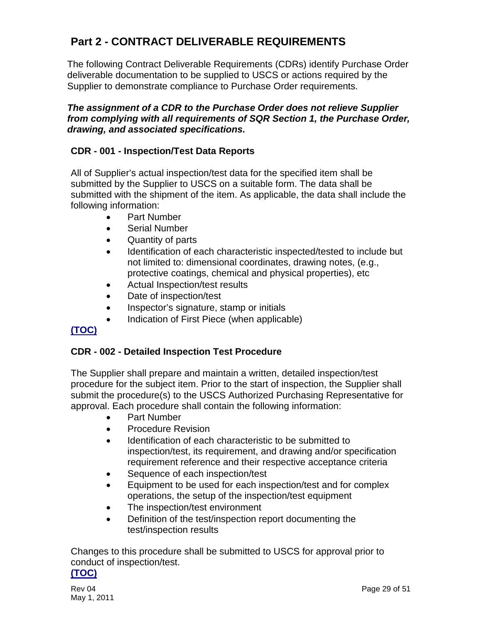# <span id="page-29-0"></span>**Part 2 - CONTRACT DELIVERABLE REQUIREMENTS**

The following Contract Deliverable Requirements (CDRs) identify Purchase Order deliverable documentation to be supplied to USCS or actions required by the Supplier to demonstrate compliance to Purchase Order requirements.

#### *The assignment of a CDR to the Purchase Order does not relieve Supplier from complying with all requirements of SQR Section 1, the Purchase Order, drawing, and associated specifications.*

#### <span id="page-29-1"></span>**CDR - 001 - Inspection/Test Data Reports**

All of Supplier's actual inspection/test data for the specified item shall be submitted by the Supplier to USCS on a suitable form. The data shall be submitted with the shipment of the item. As applicable, the data shall include the following information:

- Part Number
- Serial Number
- Quantity of parts
- Identification of each characteristic inspected/tested to include but not limited to: dimensional coordinates, drawing notes, (e.g., protective coatings, chemical and physical properties), etc
- Actual Inspection/test results
- Date of inspection/test
- Inspector's signature, stamp or initials
- Indication of First Piece (when applicable)

# **[\(TOC\)](#page-2-0)**

#### <span id="page-29-2"></span>**CDR - 002 - Detailed Inspection Test Procedure**

The Supplier shall prepare and maintain a written, detailed inspection/test procedure for the subject item. Prior to the start of inspection, the Supplier shall submit the procedure(s) to the USCS Authorized Purchasing Representative for approval. Each procedure shall contain the following information:

- Part Number
- Procedure Revision
- Identification of each characteristic to be submitted to inspection/test, its requirement, and drawing and/or specification requirement reference and their respective acceptance criteria
- Sequence of each inspection/test
- Equipment to be used for each inspection/test and for complex operations, the setup of the inspection/test equipment
- The inspection/test environment
- Definition of the test/inspection report documenting the test/inspection results

Changes to this procedure shall be submitted to USCS for approval prior to conduct of inspection/test.

#### **[\(TOC\)](#page-2-0)**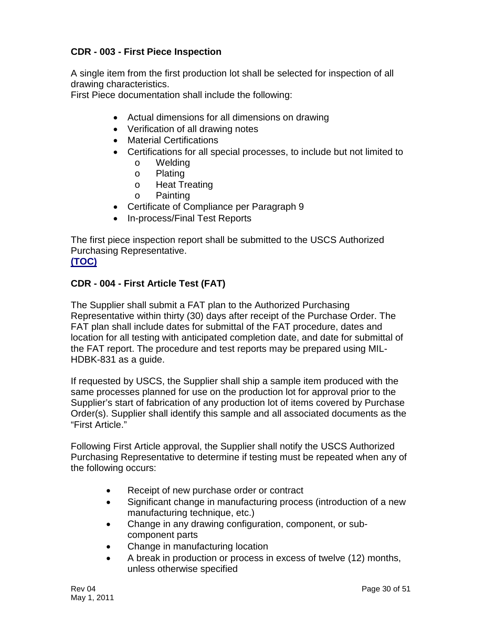## <span id="page-30-0"></span>**CDR - 003 - First Piece Inspection**

A single item from the first production lot shall be selected for inspection of all drawing characteristics.

First Piece documentation shall include the following:

- Actual dimensions for all dimensions on drawing
- Verification of all drawing notes
- Material Certifications
- Certifications for all special processes, to include but not limited to
	- o Welding
	- o Plating
	- o Heat Treating
	- o Painting
- Certificate of Compliance per Paragraph 9
- In-process/Final Test Reports

The first piece inspection report shall be submitted to the USCS Authorized Purchasing Representative. **[\(TOC\)](#page-2-0)**

# <span id="page-30-1"></span>**CDR - 004 - First Article Test (FAT)**

The Supplier shall submit a FAT plan to the Authorized Purchasing Representative within thirty (30) days after receipt of the Purchase Order. The FAT plan shall include dates for submittal of the FAT procedure, dates and location for all testing with anticipated completion date, and date for submittal of the FAT report. The procedure and test reports may be prepared using MIL-HDBK-831 as a guide.

If requested by USCS, the Supplier shall ship a sample item produced with the same processes planned for use on the production lot for approval prior to the Supplier's start of fabrication of any production lot of items covered by Purchase Order(s). Supplier shall identify this sample and all associated documents as the "First Article."

Following First Article approval, the Supplier shall notify the USCS Authorized Purchasing Representative to determine if testing must be repeated when any of the following occurs:

- Receipt of new purchase order or contract
- Significant change in manufacturing process (introduction of a new manufacturing technique, etc.)
- Change in any drawing configuration, component, or subcomponent parts
- Change in manufacturing location
- A break in production or process in excess of twelve (12) months, unless otherwise specified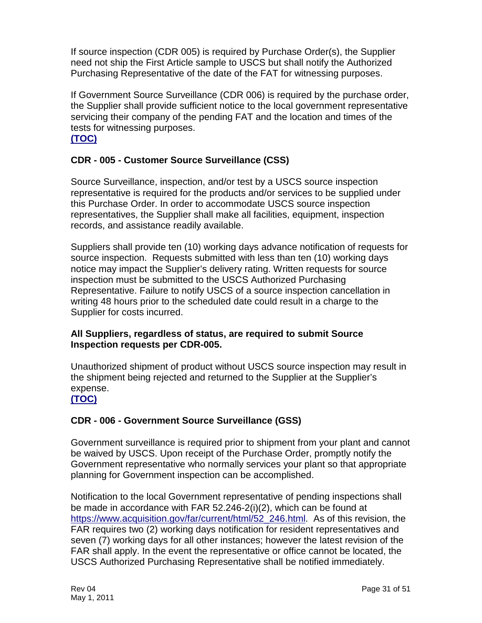If source inspection (CDR 005) is required by Purchase Order(s), the Supplier need not ship the First Article sample to USCS but shall notify the Authorized Purchasing Representative of the date of the FAT for witnessing purposes.

If Government Source Surveillance (CDR 006) is required by the purchase order, the Supplier shall provide sufficient notice to the local government representative servicing their company of the pending FAT and the location and times of the tests for witnessing purposes.

## **[\(TOC\)](#page-2-0)**

# <span id="page-31-0"></span>**CDR - 005 - Customer Source Surveillance (CSS)**

Source Surveillance, inspection, and/or test by a USCS source inspection representative is required for the products and/or services to be supplied under this Purchase Order. In order to accommodate USCS source inspection representatives, the Supplier shall make all facilities, equipment, inspection records, and assistance readily available.

Suppliers shall provide ten (10) working days advance notification of requests for source inspection. Requests submitted with less than ten (10) working days notice may impact the Supplier's delivery rating. Written requests for source inspection must be submitted to the USCS Authorized Purchasing Representative. Failure to notify USCS of a source inspection cancellation in writing 48 hours prior to the scheduled date could result in a charge to the Supplier for costs incurred.

#### **All Suppliers, regardless of status, are required to submit Source Inspection requests per CDR-005.**

Unauthorized shipment of product without USCS source inspection may result in the shipment being rejected and returned to the Supplier at the Supplier's expense.

#### **[\(TOC\)](#page-2-0)**

# <span id="page-31-1"></span>**CDR - 006 - Government Source Surveillance (GSS)**

Government surveillance is required prior to shipment from your plant and cannot be waived by USCS. Upon receipt of the Purchase Order, promptly notify the Government representative who normally services your plant so that appropriate planning for Government inspection can be accomplished.

Notification to the local Government representative of pending inspections shall be made in accordance with FAR 52.246-2(i)(2), which can be found at [https://www.acquisition.gov/far/current/html/52\\_246.html.](https://www.acquisition.gov/far/current/html/52_246.html) As of this revision, the FAR requires two (2) working days notification for resident representatives and seven (7) working days for all other instances; however the latest revision of the FAR shall apply. In the event the representative or office cannot be located, the USCS Authorized Purchasing Representative shall be notified immediately.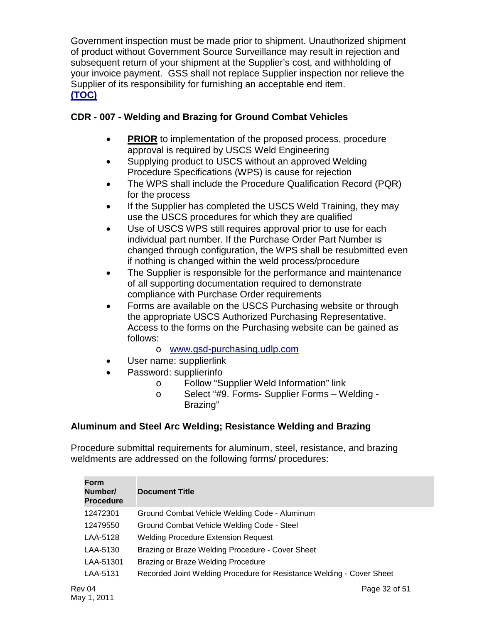Government inspection must be made prior to shipment. Unauthorized shipment of product without Government Source Surveillance may result in rejection and subsequent return of your shipment at the Supplier's cost, and withholding of your invoice payment. GSS shall not replace Supplier inspection nor relieve the Supplier of its responsibility for furnishing an acceptable end item. **[\(TOC\)](#page-2-0)**

#### <span id="page-32-0"></span>**CDR - 007 - Welding and Brazing for Ground Combat Vehicles**

- **PRIOR** to implementation of the proposed process, procedure approval is required by USCS Weld Engineering
- Supplying product to USCS without an approved Welding Procedure Specifications (WPS) is cause for rejection
- The WPS shall include the Procedure Qualification Record (PQR) for the process
- If the Supplier has completed the USCS Weld Training, they may use the USCS procedures for which they are qualified
- Use of USCS WPS still requires approval prior to use for each individual part number. If the Purchase Order Part Number is changed through configuration, the WPS shall be resubmitted even if nothing is changed within the weld process/procedure
- The Supplier is responsible for the performance and maintenance of all supporting documentation required to demonstrate compliance with Purchase Order requirements
- Forms are available on the USCS Purchasing website or through the appropriate USCS Authorized Purchasing Representative. Access to the forms on the Purchasing website can be gained as follows:
	- o [www.gsd-purchasing.udlp.com](http://www.gsd-purchasing.udlp.com/)
	- User name: supplierlink
- Password: supplierinfo
	- o Follow "Supplier Weld Information" link<br>o Select "#9. Forms- Supplier Forms W
	- Select "#9. Forms- Supplier Forms Welding -Brazing"

#### **Aluminum and Steel Arc Welding; Resistance Welding and Brazing**

Procedure submittal requirements for aluminum, steel, resistance, and brazing weldments are addressed on the following forms/ procedures:

| <b>Form</b><br>Number/<br><b>Procedure</b> | <b>Document Title</b>                                                 |
|--------------------------------------------|-----------------------------------------------------------------------|
| 12472301                                   | Ground Combat Vehicle Welding Code - Aluminum                         |
| 12479550                                   | Ground Combat Vehicle Welding Code - Steel                            |
| LAA-5128                                   | <b>Welding Procedure Extension Request</b>                            |
| LAA-5130                                   | Brazing or Braze Welding Procedure - Cover Sheet                      |
| LAA-51301                                  | Brazing or Braze Welding Procedure                                    |
| LAA-5131                                   | Recorded Joint Welding Procedure for Resistance Welding - Cover Sheet |
| v 04                                       | Page 32 of 51                                                         |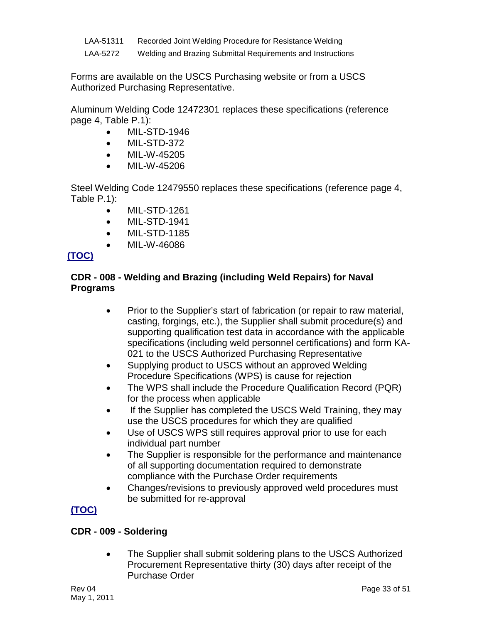| LAA-51311 | Recorded Joint Welding Procedure for Resistance Welding     |
|-----------|-------------------------------------------------------------|
| LAA-5272  | Welding and Brazing Submittal Requirements and Instructions |

Forms are available on the USCS Purchasing website or from a USCS Authorized Purchasing Representative.

Aluminum Welding Code 12472301 replaces these specifications (reference page 4, Table P.1):

- MIL-STD-1946
- MIL-STD-372
- MIL-W-45205
- MIL-W-45206

Steel Welding Code 12479550 replaces these specifications (reference page 4, Table P.1):

- MIL-STD-1261
- MIL-STD-1941
- MIL-STD-1185
- MIL-W-46086

# **[\(TOC\)](#page-2-0)**

## <span id="page-33-0"></span>**CDR - 008 - Welding and Brazing (including Weld Repairs) for Naval Programs**

- Prior to the Supplier's start of fabrication (or repair to raw material, casting, forgings, etc.), the Supplier shall submit procedure(s) and supporting qualification test data in accordance with the applicable specifications (including weld personnel certifications) and form KA-021 to the USCS Authorized Purchasing Representative
- Supplying product to USCS without an approved Welding Procedure Specifications (WPS) is cause for rejection
- The WPS shall include the Procedure Qualification Record (PQR) for the process when applicable
- If the Supplier has completed the USCS Weld Training, they may use the USCS procedures for which they are qualified
- Use of USCS WPS still requires approval prior to use for each individual part number
- The Supplier is responsible for the performance and maintenance of all supporting documentation required to demonstrate compliance with the Purchase Order requirements
- Changes/revisions to previously approved weld procedures must be submitted for re-approval

# **[\(TOC\)](#page-2-0)**

# <span id="page-33-1"></span>**CDR - 009 - Soldering**

• The Supplier shall submit soldering plans to the USCS Authorized Procurement Representative thirty (30) days after receipt of the Purchase Order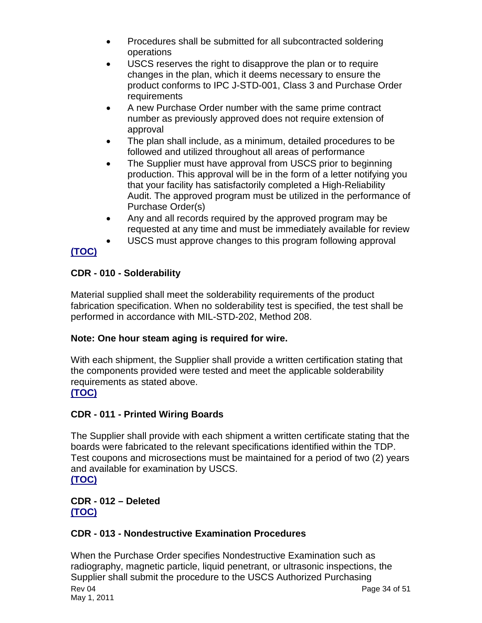- Procedures shall be submitted for all subcontracted soldering operations
- USCS reserves the right to disapprove the plan or to require changes in the plan, which it deems necessary to ensure the product conforms to IPC J-STD-001, Class 3 and Purchase Order requirements
- A new Purchase Order number with the same prime contract number as previously approved does not require extension of approval
- The plan shall include, as a minimum, detailed procedures to be followed and utilized throughout all areas of performance
- The Supplier must have approval from USCS prior to beginning production. This approval will be in the form of a letter notifying you that your facility has satisfactorily completed a High-Reliability Audit. The approved program must be utilized in the performance of Purchase Order(s)
- Any and all records required by the approved program may be requested at any time and must be immediately available for review
- USCS must approve changes to this program following approval

# **[\(TOC\)](#page-2-0)**

# <span id="page-34-0"></span>**CDR - 010 - Solderability**

Material supplied shall meet the solderability requirements of the product fabrication specification. When no solderability test is specified, the test shall be performed in accordance with MIL-STD-202, Method 208.

# **Note: One hour steam aging is required for wire.**

With each shipment, the Supplier shall provide a written certification stating that the components provided were tested and meet the applicable solderability requirements as stated above.

# **[\(TOC\)](#page-2-0)**

# <span id="page-34-1"></span>**CDR - 011 - Printed Wiring Boards**

The Supplier shall provide with each shipment a written certificate stating that the boards were fabricated to the relevant specifications identified within the TDP. Test coupons and microsections must be maintained for a period of two (2) years and available for examination by USCS. **[\(TOC\)](#page-2-0)**

# <span id="page-34-2"></span>**CDR - 012 – Deleted [\(TOC\)](#page-2-0)**

# <span id="page-34-3"></span>**CDR - 013 - Nondestructive Examination Procedures**

Rev 04 May 1, 2011 Page 34 of 51 When the Purchase Order specifies Nondestructive Examination such as radiography, magnetic particle, liquid penetrant, or ultrasonic inspections, the Supplier shall submit the procedure to the USCS Authorized Purchasing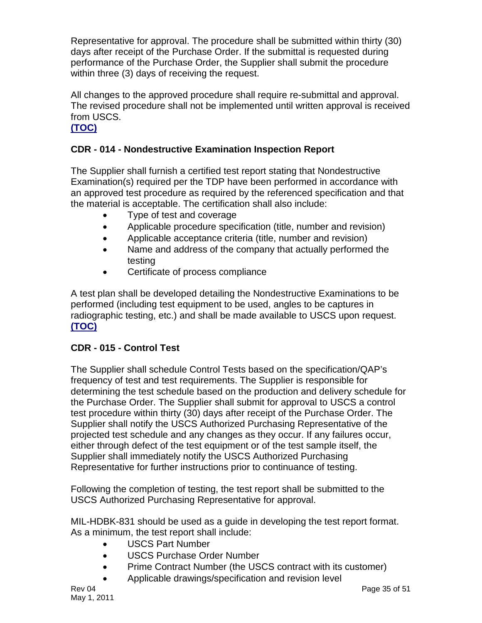Representative for approval. The procedure shall be submitted within thirty (30) days after receipt of the Purchase Order. If the submittal is requested during performance of the Purchase Order, the Supplier shall submit the procedure within three (3) days of receiving the request.

All changes to the approved procedure shall require re-submittal and approval. The revised procedure shall not be implemented until written approval is received from USCS.

## **[\(TOC\)](#page-2-0)**

# <span id="page-35-0"></span>**CDR - 014 - Nondestructive Examination Inspection Report**

The Supplier shall furnish a certified test report stating that Nondestructive Examination(s) required per the TDP have been performed in accordance with an approved test procedure as required by the referenced specification and that the material is acceptable. The certification shall also include:

- Type of test and coverage
- Applicable procedure specification (title, number and revision)
- Applicable acceptance criteria (title, number and revision)
- Name and address of the company that actually performed the testing
- Certificate of process compliance

A test plan shall be developed detailing the Nondestructive Examinations to be performed (including test equipment to be used, angles to be captures in radiographic testing, etc.) and shall be made available to USCS upon request. **[\(TOC\)](#page-2-0)**

#### <span id="page-35-1"></span>**CDR - 015 - Control Test**

The Supplier shall schedule Control Tests based on the specification/QAP's frequency of test and test requirements. The Supplier is responsible for determining the test schedule based on the production and delivery schedule for the Purchase Order. The Supplier shall submit for approval to USCS a control test procedure within thirty (30) days after receipt of the Purchase Order. The Supplier shall notify the USCS Authorized Purchasing Representative of the projected test schedule and any changes as they occur. If any failures occur, either through defect of the test equipment or of the test sample itself, the Supplier shall immediately notify the USCS Authorized Purchasing Representative for further instructions prior to continuance of testing.

Following the completion of testing, the test report shall be submitted to the USCS Authorized Purchasing Representative for approval.

MIL-HDBK-831 should be used as a guide in developing the test report format. As a minimum, the test report shall include:

- USCS Part Number
- USCS Purchase Order Number
- Prime Contract Number (the USCS contract with its customer)
- Applicable drawings/specification and revision level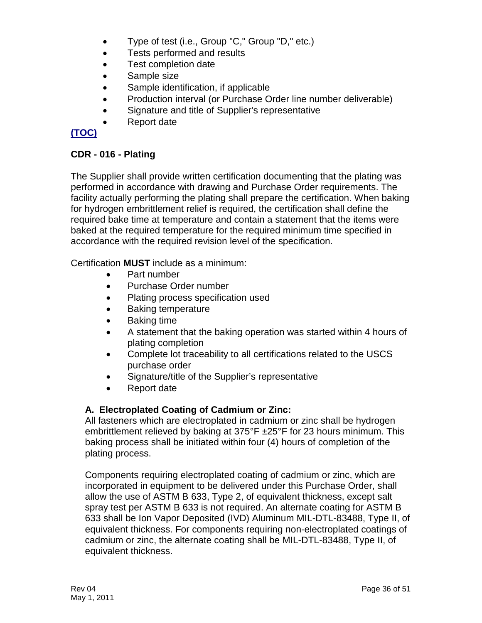- Type of test (i.e., Group "C," Group "D," etc.)
- Tests performed and results
- Test completion date
- Sample size
- Sample identification, if applicable
- Production interval (or Purchase Order line number deliverable)
- Signature and title of Supplier's representative
- Report date

# **[\(TOC\)](#page-2-0)**

#### <span id="page-36-0"></span>**CDR - 016 - Plating**

The Supplier shall provide written certification documenting that the plating was performed in accordance with drawing and Purchase Order requirements. The facility actually performing the plating shall prepare the certification. When baking for hydrogen embrittlement relief is required, the certification shall define the required bake time at temperature and contain a statement that the items were baked at the required temperature for the required minimum time specified in accordance with the required revision level of the specification.

Certification **MUST** include as a minimum:

- Part number
- Purchase Order number
- Plating process specification used
- Baking temperature
- Baking time
- A statement that the baking operation was started within 4 hours of plating completion
- Complete lot traceability to all certifications related to the USCS purchase order
- Signature/title of the Supplier's representative
- Report date

#### <span id="page-36-1"></span>**A. Electroplated Coating of Cadmium or Zinc:**

All fasteners which are electroplated in cadmium or zinc shall be hydrogen embrittlement relieved by baking at 375°F ±25°F for 23 hours minimum. This baking process shall be initiated within four (4) hours of completion of the plating process.

Components requiring electroplated coating of cadmium or zinc, which are incorporated in equipment to be delivered under this Purchase Order, shall allow the use of ASTM B 633, Type 2, of equivalent thickness, except salt spray test per ASTM B 633 is not required. An alternate coating for ASTM B 633 shall be Ion Vapor Deposited (IVD) Aluminum MIL-DTL-83488, Type II, of equivalent thickness. For components requiring non-electroplated coatings of cadmium or zinc, the alternate coating shall be MIL-DTL-83488, Type II, of equivalent thickness.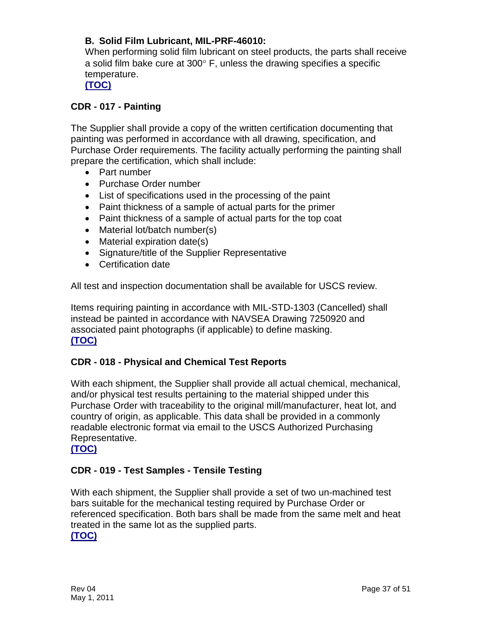## <span id="page-37-0"></span>**B. Solid Film Lubricant, MIL-PRF-46010:**

When performing solid film lubricant on steel products, the parts shall receive a solid film bake cure at  $300^\circ$  F, unless the drawing specifies a specific temperature.

**[\(TOC\)](#page-2-0)**

#### <span id="page-37-1"></span>**CDR - 017 - Painting**

The Supplier shall provide a copy of the written certification documenting that painting was performed in accordance with all drawing, specification, and Purchase Order requirements. The facility actually performing the painting shall prepare the certification, which shall include:

- Part number
- Purchase Order number
- List of specifications used in the processing of the paint
- Paint thickness of a sample of actual parts for the primer
- Paint thickness of a sample of actual parts for the top coat
- Material lot/batch number(s)
- Material expiration date(s)
- Signature/title of the Supplier Representative
- Certification date

All test and inspection documentation shall be available for USCS review.

Items requiring painting in accordance with MIL-STD-1303 (Cancelled) shall instead be painted in accordance with NAVSEA Drawing 7250920 and associated paint photographs (if applicable) to define masking. **[\(TOC\)](#page-2-0)**

#### <span id="page-37-2"></span>**CDR - 018 - Physical and Chemical Test Reports**

With each shipment, the Supplier shall provide all actual chemical, mechanical, and/or physical test results pertaining to the material shipped under this Purchase Order with traceability to the original mill/manufacturer, heat lot, and country of origin, as applicable. This data shall be provided in a commonly readable electronic format via email to the USCS Authorized Purchasing Representative.

#### **[\(TOC\)](#page-2-0)**

#### <span id="page-37-3"></span>**CDR - 019 - Test Samples - Tensile Testing**

With each shipment, the Supplier shall provide a set of two un-machined test bars suitable for the mechanical testing required by Purchase Order or referenced specification. Both bars shall be made from the same melt and heat treated in the same lot as the supplied parts.

#### **[\(TOC\)](#page-2-0)**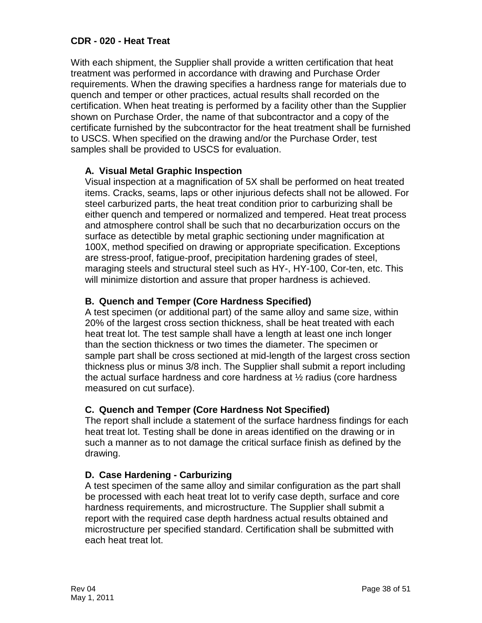#### <span id="page-38-0"></span>**CDR - 020 - Heat Treat**

With each shipment, the Supplier shall provide a written certification that heat treatment was performed in accordance with drawing and Purchase Order requirements. When the drawing specifies a hardness range for materials due to quench and temper or other practices, actual results shall recorded on the certification. When heat treating is performed by a facility other than the Supplier shown on Purchase Order, the name of that subcontractor and a copy of the certificate furnished by the subcontractor for the heat treatment shall be furnished to USCS. When specified on the drawing and/or the Purchase Order, test samples shall be provided to USCS for evaluation.

#### <span id="page-38-1"></span>**A. Visual Metal Graphic Inspection**

Visual inspection at a magnification of 5X shall be performed on heat treated items. Cracks, seams, laps or other injurious defects shall not be allowed. For steel carburized parts, the heat treat condition prior to carburizing shall be either quench and tempered or normalized and tempered. Heat treat process and atmosphere control shall be such that no decarburization occurs on the surface as detectible by metal graphic sectioning under magnification at 100X, method specified on drawing or appropriate specification. Exceptions are stress-proof, fatigue-proof, precipitation hardening grades of steel, maraging steels and structural steel such as HY-, HY-100, Cor-ten, etc. This will minimize distortion and assure that proper hardness is achieved.

#### <span id="page-38-2"></span>**B. Quench and Temper (Core Hardness Specified)**

A test specimen (or additional part) of the same alloy and same size, within 20% of the largest cross section thickness, shall be heat treated with each heat treat lot. The test sample shall have a length at least one inch longer than the section thickness or two times the diameter. The specimen or sample part shall be cross sectioned at mid-length of the largest cross section thickness plus or minus 3/8 inch. The Supplier shall submit a report including the actual surface hardness and core hardness at ½ radius (core hardness measured on cut surface).

#### <span id="page-38-3"></span>**C. Quench and Temper (Core Hardness Not Specified)**

The report shall include a statement of the surface hardness findings for each heat treat lot. Testing shall be done in areas identified on the drawing or in such a manner as to not damage the critical surface finish as defined by the drawing.

#### <span id="page-38-4"></span>**D. Case Hardening - Carburizing**

A test specimen of the same alloy and similar configuration as the part shall be processed with each heat treat lot to verify case depth, surface and core hardness requirements, and microstructure. The Supplier shall submit a report with the required case depth hardness actual results obtained and microstructure per specified standard. Certification shall be submitted with each heat treat lot.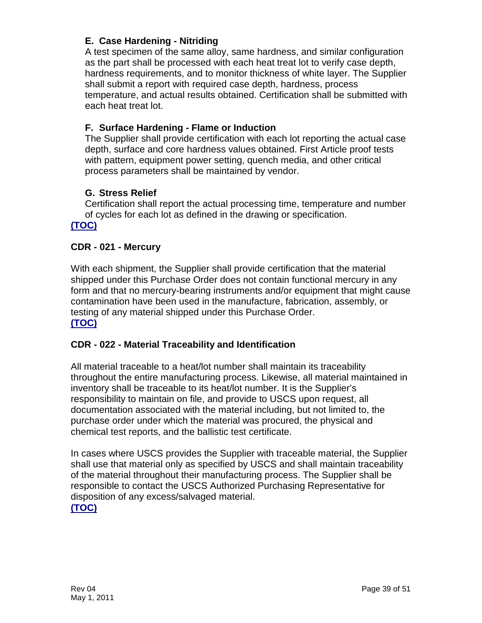## <span id="page-39-0"></span>**E. Case Hardening - Nitriding**

A test specimen of the same alloy, same hardness, and similar configuration as the part shall be processed with each heat treat lot to verify case depth, hardness requirements, and to monitor thickness of white layer. The Supplier shall submit a report with required case depth, hardness, process temperature, and actual results obtained. Certification shall be submitted with each heat treat lot.

#### <span id="page-39-1"></span>**F. Surface Hardening - Flame or Induction**

The Supplier shall provide certification with each lot reporting the actual case depth, surface and core hardness values obtained. First Article proof tests with pattern, equipment power setting, quench media, and other critical process parameters shall be maintained by vendor.

## <span id="page-39-2"></span>**G. Stress Relief**

Certification shall report the actual processing time, temperature and number of cycles for each lot as defined in the drawing or specification.

## **[\(TOC\)](#page-2-0)**

#### <span id="page-39-3"></span>**CDR - 021 - Mercury**

With each shipment, the Supplier shall provide certification that the material shipped under this Purchase Order does not contain functional mercury in any form and that no mercury-bearing instruments and/or equipment that might cause contamination have been used in the manufacture, fabrication, assembly, or testing of any material shipped under this Purchase Order. **[\(TOC\)](#page-2-0)**

#### <span id="page-39-4"></span>**CDR - 022 - Material Traceability and Identification**

All material traceable to a heat/lot number shall maintain its traceability throughout the entire manufacturing process. Likewise, all material maintained in inventory shall be traceable to its heat/lot number. It is the Supplier's responsibility to maintain on file, and provide to USCS upon request, all documentation associated with the material including, but not limited to, the purchase order under which the material was procured, the physical and chemical test reports, and the ballistic test certificate.

In cases where USCS provides the Supplier with traceable material, the Supplier shall use that material only as specified by USCS and shall maintain traceability of the material throughout their manufacturing process. The Supplier shall be responsible to contact the USCS Authorized Purchasing Representative for disposition of any excess/salvaged material. **[\(TOC\)](#page-2-0)**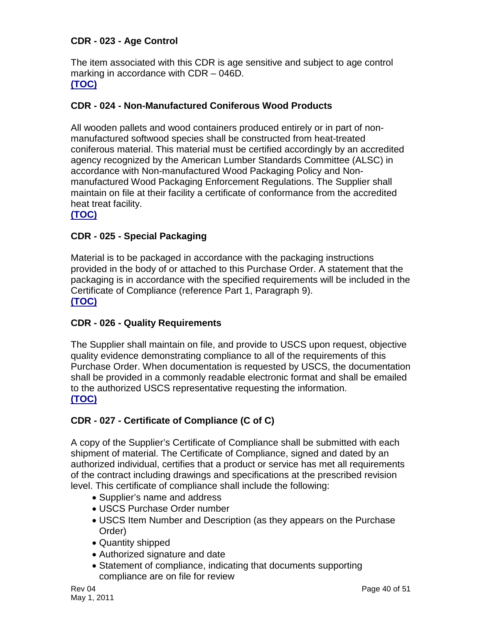#### <span id="page-40-0"></span>**CDR - 023 - Age Control**

The item associated with this CDR is age sensitive and subject to age control marking in accordance with CDR – 046D. **[\(TOC\)](#page-2-0)**

#### <span id="page-40-1"></span>**CDR - 024 - Non-Manufactured Coniferous Wood Products**

All wooden pallets and wood containers produced entirely or in part of nonmanufactured softwood species shall be constructed from heat-treated coniferous material. This material must be certified accordingly by an accredited agency recognized by the American Lumber Standards Committee (ALSC) in accordance with Non-manufactured Wood Packaging Policy and Nonmanufactured Wood Packaging Enforcement Regulations. The Supplier shall maintain on file at their facility a certificate of conformance from the accredited heat treat facility.

#### **[\(TOC\)](#page-2-0)**

#### <span id="page-40-2"></span>**CDR - 025 - Special Packaging**

Material is to be packaged in accordance with the packaging instructions provided in the body of or attached to this Purchase Order. A statement that the packaging is in accordance with the specified requirements will be included in the Certificate of Compliance (reference Part 1, Paragraph 9). **[\(TOC\)](#page-2-0)**

#### <span id="page-40-3"></span>**CDR - 026 - Quality Requirements**

The Supplier shall maintain on file, and provide to USCS upon request, objective quality evidence demonstrating compliance to all of the requirements of this Purchase Order. When documentation is requested by USCS, the documentation shall be provided in a commonly readable electronic format and shall be emailed to the authorized USCS representative requesting the information. **[\(TOC\)](#page-2-0)**

#### <span id="page-40-4"></span>**CDR - 027 - Certificate of Compliance (C of C)**

A copy of the Supplier's Certificate of Compliance shall be submitted with each shipment of material. The Certificate of Compliance, signed and dated by an authorized individual, certifies that a product or service has met all requirements of the contract including drawings and specifications at the prescribed revision level. This certificate of compliance shall include the following:

- Supplier's name and address
- USCS Purchase Order number
- USCS Item Number and Description (as they appears on the Purchase Order)
- Quantity shipped
- Authorized signature and date
- Statement of compliance, indicating that documents supporting compliance are on file for review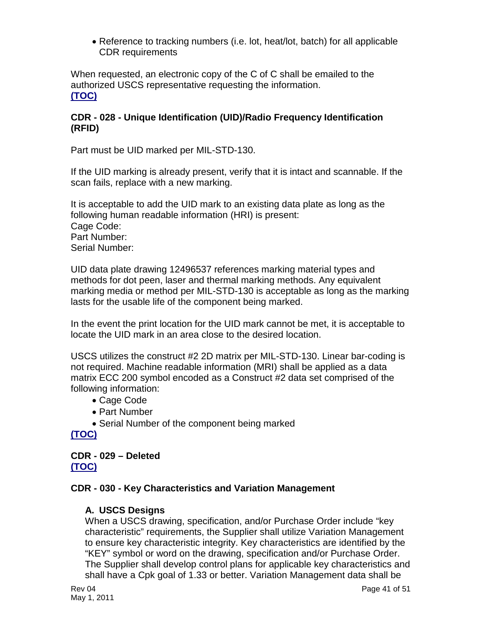• Reference to tracking numbers (i.e. lot, heat/lot, batch) for all applicable CDR requirements

When requested, an electronic copy of the C of C shall be emailed to the authorized USCS representative requesting the information. **[\(TOC\)](#page-2-0)**

#### <span id="page-41-0"></span>**CDR - 028 - Unique Identification (UID)/Radio Frequency Identification (RFID)**

Part must be UID marked per MIL-STD-130.

If the UID marking is already present, verify that it is intact and scannable. If the scan fails, replace with a new marking.

It is acceptable to add the UID mark to an existing data plate as long as the following human readable information (HRI) is present: Cage Code: Part Number: Serial Number:

UID data plate drawing 12496537 references marking material types and methods for dot peen, laser and thermal marking methods. Any equivalent marking media or method per MIL-STD-130 is acceptable as long as the marking lasts for the usable life of the component being marked.

In the event the print location for the UID mark cannot be met, it is acceptable to locate the UID mark in an area close to the desired location.

USCS utilizes the construct #2 2D matrix per MIL-STD-130. Linear bar-coding is not required. Machine readable information (MRI) shall be applied as a data matrix ECC 200 symbol encoded as a Construct #2 data set comprised of the following information:

- Cage Code
- Part Number
- Serial Number of the component being marked

**[\(TOC\)](#page-2-0)**

#### <span id="page-41-1"></span>**CDR - 029 – Deleted [\(TOC\)](#page-2-0)**

#### <span id="page-41-2"></span>**CDR - 030 - Key Characteristics and Variation Management**

#### <span id="page-41-3"></span>**A. USCS Designs**

When a USCS drawing, specification, and/or Purchase Order include "key characteristic" requirements, the Supplier shall utilize Variation Management to ensure key characteristic integrity. Key characteristics are identified by the "KEY" symbol or word on the drawing, specification and/or Purchase Order. The Supplier shall develop control plans for applicable key characteristics and shall have a Cpk goal of 1.33 or better. Variation Management data shall be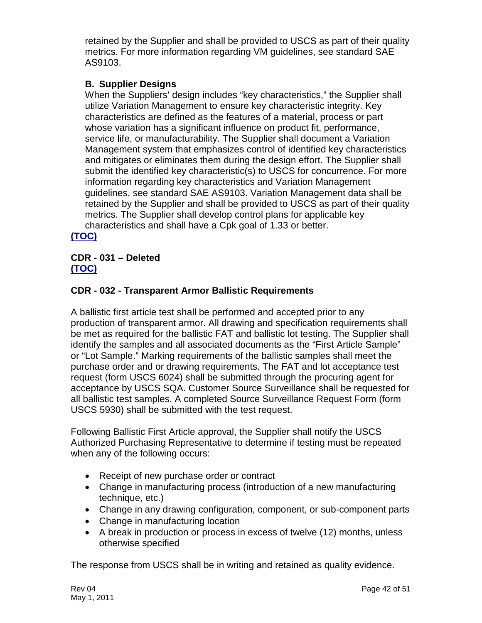retained by the Supplier and shall be provided to USCS as part of their quality metrics. For more information regarding VM guidelines, see standard SAE AS9103.

#### <span id="page-42-0"></span>**B. Supplier Designs**

When the Suppliers' design includes "key characteristics," the Supplier shall utilize Variation Management to ensure key characteristic integrity. Key characteristics are defined as the features of a material, process or part whose variation has a significant influence on product fit, performance, service life, or manufacturability. The Supplier shall document a Variation Management system that emphasizes control of identified key characteristics and mitigates or eliminates them during the design effort. The Supplier shall submit the identified key characteristic(s) to USCS for concurrence. For more information regarding key characteristics and Variation Management guidelines, see standard SAE AS9103. Variation Management data shall be retained by the Supplier and shall be provided to USCS as part of their quality metrics. The Supplier shall develop control plans for applicable key characteristics and shall have a Cpk goal of 1.33 or better.

**[\(TOC\)](#page-2-0)**

## <span id="page-42-1"></span>**CDR - 031 – Deleted [\(TOC\)](#page-2-0)**

## <span id="page-42-2"></span>**CDR - 032 - Transparent Armor Ballistic Requirements**

A ballistic first article test shall be performed and accepted prior to any production of transparent armor. All drawing and specification requirements shall be met as required for the ballistic FAT and ballistic lot testing. The Supplier shall identify the samples and all associated documents as the "First Article Sample" or "Lot Sample." Marking requirements of the ballistic samples shall meet the purchase order and or drawing requirements. The FAT and lot acceptance test request (form USCS 6024) shall be submitted through the procuring agent for acceptance by USCS SQA. Customer Source Surveillance shall be requested for all ballistic test samples. A completed Source Surveillance Request Form (form USCS 5930) shall be submitted with the test request.

Following Ballistic First Article approval, the Supplier shall notify the USCS Authorized Purchasing Representative to determine if testing must be repeated when any of the following occurs:

- Receipt of new purchase order or contract
- Change in manufacturing process (introduction of a new manufacturing technique, etc.)
- Change in any drawing configuration, component, or sub-component parts
- Change in manufacturing location
- A break in production or process in excess of twelve (12) months, unless otherwise specified

The response from USCS shall be in writing and retained as quality evidence.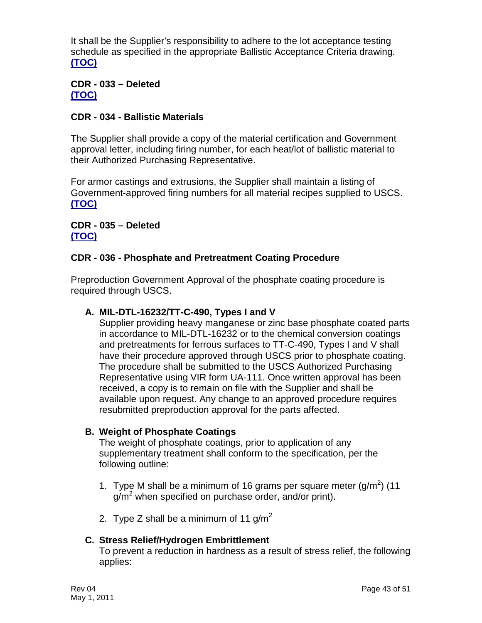It shall be the Supplier's responsibility to adhere to the lot acceptance testing schedule as specified in the appropriate Ballistic Acceptance Criteria drawing. **[\(TOC\)](#page-2-0)**

#### <span id="page-43-0"></span>**CDR - 033 – Deleted [\(TOC\)](#page-2-0)**

#### <span id="page-43-1"></span>**CDR - 034 - Ballistic Materials**

The Supplier shall provide a copy of the material certification and Government approval letter, including firing number, for each heat/lot of ballistic material to their Authorized Purchasing Representative.

For armor castings and extrusions, the Supplier shall maintain a listing of Government-approved firing numbers for all material recipes supplied to USCS. **[\(TOC\)](#page-2-0)**

#### <span id="page-43-2"></span>**CDR - 035 – Deleted [\(TOC\)](#page-2-0)**

#### <span id="page-43-3"></span>**CDR - 036 - Phosphate and Pretreatment Coating Procedure**

Preproduction Government Approval of the phosphate coating procedure is required through USCS.

#### <span id="page-43-4"></span>**A. MIL-DTL-16232/TT-C-490, Types I and V**

Supplier providing heavy manganese or zinc base phosphate coated parts in accordance to MIL-DTL-16232 or to the chemical conversion coatings and pretreatments for ferrous surfaces to TT-C-490, Types I and V shall have their procedure approved through USCS prior to phosphate coating. The procedure shall be submitted to the USCS Authorized Purchasing Representative using VIR form UA-111. Once written approval has been received, a copy is to remain on file with the Supplier and shall be available upon request. Any change to an approved procedure requires resubmitted preproduction approval for the parts affected.

#### <span id="page-43-5"></span>**B. Weight of Phosphate Coatings**

The weight of phosphate coatings, prior to application of any supplementary treatment shall conform to the specification, per the following outline:

- 1. Type M shall be a minimum of 16 grams per square meter  $(g/m^2)$  (11  $g/m^2$  when specified on purchase order, and/or print).
- 2. Type Z shall be a minimum of 11  $q/m^2$

#### <span id="page-43-6"></span>**C. Stress Relief/Hydrogen Embrittlement**

To prevent a reduction in hardness as a result of stress relief, the following applies: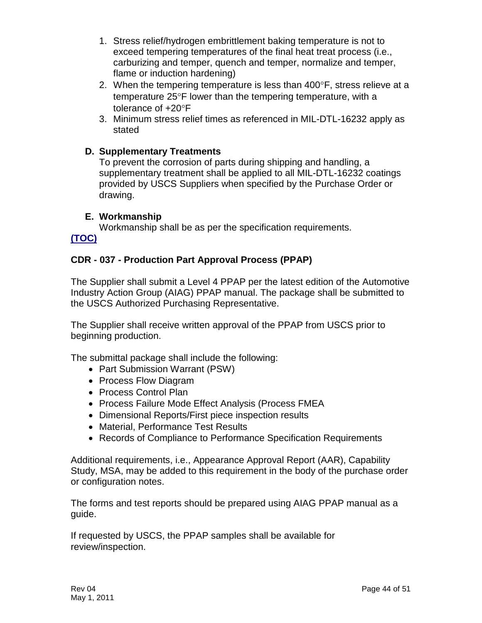- 1. Stress relief/hydrogen embrittlement baking temperature is not to exceed tempering temperatures of the final heat treat process (i.e., carburizing and temper, quench and temper, normalize and temper, flame or induction hardening)
- 2. When the tempering temperature is less than  $400^\circ$ F, stress relieve at a temperature 25°F lower than the tempering temperature, with a tolerance of +20°F
- 3. Minimum stress relief times as referenced in MIL-DTL-16232 apply as stated

#### <span id="page-44-0"></span>**D. Supplementary Treatments**

To prevent the corrosion of parts during shipping and handling, a supplementary treatment shall be applied to all MIL-DTL-16232 coatings provided by USCS Suppliers when specified by the Purchase Order or drawing.

#### **E. Workmanship**

<span id="page-44-1"></span>Workmanship shall be as per the specification requirements. **[\(TOC\)](#page-2-0)**

#### <span id="page-44-2"></span>**CDR - 037 - Production Part Approval Process (PPAP)**

The Supplier shall submit a Level 4 PPAP per the latest edition of the Automotive Industry Action Group (AIAG) PPAP manual. The package shall be submitted to the USCS Authorized Purchasing Representative.

The Supplier shall receive written approval of the PPAP from USCS prior to beginning production.

The submittal package shall include the following:

- Part Submission Warrant (PSW)
- Process Flow Diagram
- Process Control Plan
- Process Failure Mode Effect Analysis (Process FMEA
- Dimensional Reports/First piece inspection results
- Material, Performance Test Results
- Records of Compliance to Performance Specification Requirements

Additional requirements, i.e., Appearance Approval Report (AAR), Capability Study, MSA, may be added to this requirement in the body of the purchase order or configuration notes.

The forms and test reports should be prepared using AIAG PPAP manual as a guide.

If requested by USCS, the PPAP samples shall be available for review/inspection.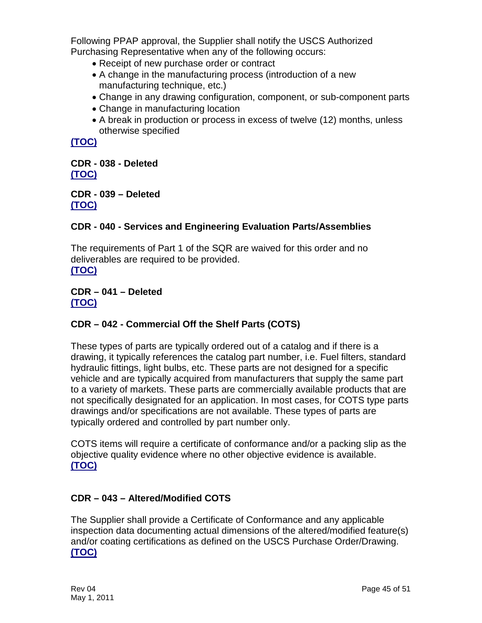Following PPAP approval, the Supplier shall notify the USCS Authorized Purchasing Representative when any of the following occurs:

- Receipt of new purchase order or contract
- A change in the manufacturing process (introduction of a new manufacturing technique, etc.)
- Change in any drawing configuration, component, or sub-component parts
- Change in manufacturing location
- A break in production or process in excess of twelve (12) months, unless otherwise specified

**[\(TOC\)](#page-2-0)**

<span id="page-45-0"></span>**CDR - 038 - Deleted [\(TOC\)](#page-2-0)**

<span id="page-45-1"></span>**CDR - 039 – Deleted [\(TOC\)](#page-2-0)**

## <span id="page-45-2"></span>**CDR - 040 - Services and Engineering Evaluation Parts/Assemblies**

The requirements of Part 1 of the SQR are waived for this order and no deliverables are required to be provided. **[\(TOC\)](#page-2-0)**

<span id="page-45-3"></span>**CDR – 041 – Deleted [\(TOC\)](#page-2-0)**

# <span id="page-45-4"></span>**CDR – 042 - Commercial Off the Shelf Parts (COTS)**

These types of parts are typically ordered out of a catalog and if there is a drawing, it typically references the catalog part number, i.e. Fuel filters, standard hydraulic fittings, light bulbs, etc. These parts are not designed for a specific vehicle and are typically acquired from manufacturers that supply the same part to a variety of markets. These parts are commercially available products that are not specifically designated for an application. In most cases, for COTS type parts drawings and/or specifications are not available. These types of parts are typically ordered and controlled by part number only.

COTS items will require a certificate of conformance and/or a packing slip as the objective quality evidence where no other objective evidence is available. **[\(TOC\)](#page-2-0)**

#### <span id="page-45-5"></span>**CDR – 043 – Altered/Modified COTS**

The Supplier shall provide a Certificate of Conformance and any applicable inspection data documenting actual dimensions of the altered/modified feature(s) and/or coating certifications as defined on the USCS Purchase Order/Drawing. **[\(TOC\)](#page-2-0)**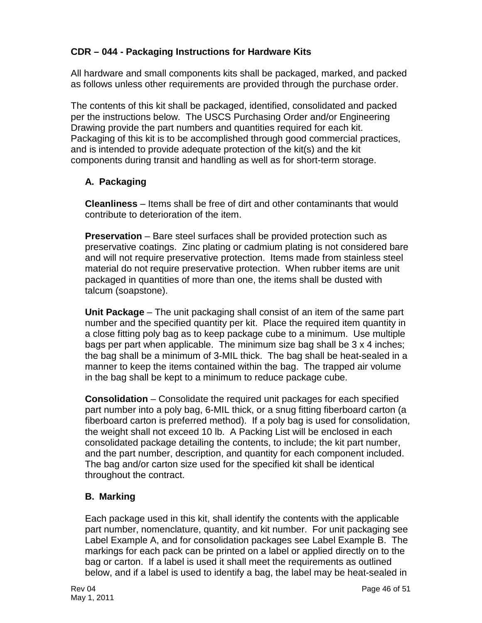## <span id="page-46-0"></span>**CDR – 044 - Packaging Instructions for Hardware Kits**

All hardware and small components kits shall be packaged, marked, and packed as follows unless other requirements are provided through the purchase order.

The contents of this kit shall be packaged, identified, consolidated and packed per the instructions below. The USCS Purchasing Order and/or Engineering Drawing provide the part numbers and quantities required for each kit. Packaging of this kit is to be accomplished through good commercial practices, and is intended to provide adequate protection of the kit(s) and the kit components during transit and handling as well as for short-term storage.

## <span id="page-46-1"></span>**A. Packaging**

**Cleanliness** – Items shall be free of dirt and other contaminants that would contribute to deterioration of the item.

**Preservation** – Bare steel surfaces shall be provided protection such as preservative coatings. Zinc plating or cadmium plating is not considered bare and will not require preservative protection. Items made from stainless steel material do not require preservative protection. When rubber items are unit packaged in quantities of more than one, the items shall be dusted with talcum (soapstone).

**Unit Package** – The unit packaging shall consist of an item of the same part number and the specified quantity per kit. Place the required item quantity in a close fitting poly bag as to keep package cube to a minimum. Use multiple bags per part when applicable. The minimum size bag shall be 3 x 4 inches; the bag shall be a minimum of 3-MIL thick. The bag shall be heat-sealed in a manner to keep the items contained within the bag. The trapped air volume in the bag shall be kept to a minimum to reduce package cube.

**Consolidation** – Consolidate the required unit packages for each specified part number into a poly bag, 6-MIL thick, or a snug fitting fiberboard carton (a fiberboard carton is preferred method). If a poly bag is used for consolidation, the weight shall not exceed 10 lb. A Packing List will be enclosed in each consolidated package detailing the contents, to include; the kit part number, and the part number, description, and quantity for each component included. The bag and/or carton size used for the specified kit shall be identical throughout the contract.

#### <span id="page-46-2"></span>**B. Marking**

Each package used in this kit, shall identify the contents with the applicable part number, nomenclature, quantity, and kit number. For unit packaging see Label Example A, and for consolidation packages see Label Example B. The markings for each pack can be printed on a label or applied directly on to the bag or carton. If a label is used it shall meet the requirements as outlined below, and if a label is used to identify a bag, the label may be heat-sealed in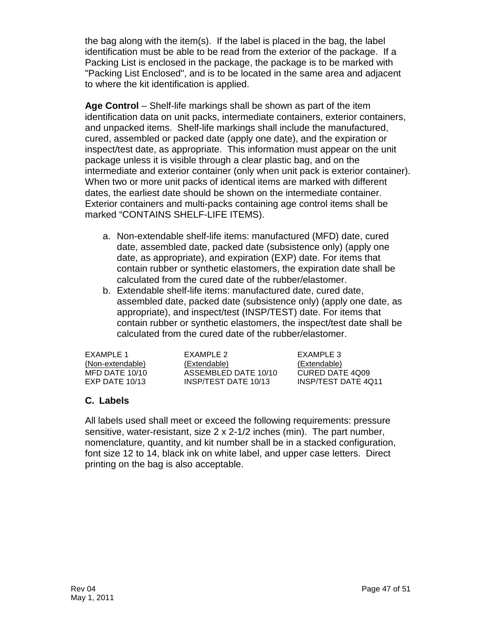the bag along with the item(s). If the label is placed in the bag, the label identification must be able to be read from the exterior of the package. If a Packing List is enclosed in the package, the package is to be marked with "Packing List Enclosed", and is to be located in the same area and adjacent to where the kit identification is applied.

**Age Control** – Shelf-life markings shall be shown as part of the item identification data on unit packs, intermediate containers, exterior containers, and unpacked items. Shelf-life markings shall include the manufactured, cured, assembled or packed date (apply one date), and the expiration or inspect/test date, as appropriate. This information must appear on the unit package unless it is visible through a clear plastic bag, and on the intermediate and exterior container (only when unit pack is exterior container). When two or more unit packs of identical items are marked with different dates, the earliest date should be shown on the intermediate container. Exterior containers and multi-packs containing age control items shall be marked "CONTAINS SHELF-LIFE ITEMS).

- a. Non-extendable shelf-life items: manufactured (MFD) date, cured date, assembled date, packed date (subsistence only) (apply one date, as appropriate), and expiration (EXP) date. For items that contain rubber or synthetic elastomers, the expiration date shall be calculated from the cured date of the rubber/elastomer.
- b. Extendable shelf-life items: manufactured date, cured date, assembled date, packed date (subsistence only) (apply one date, as appropriate), and inspect/test (INSP/TEST) date. For items that contain rubber or synthetic elastomers, the inspect/test date shall be calculated from the cured date of the rubber/elastomer.

| EXAMPLE 1        | EXAMPLE 2            | EXAMPLE 3           |
|------------------|----------------------|---------------------|
| (Non-extendable) | (Extendable)         | (Extendable)        |
| MFD DATE 10/10   | ASSEMBLED DATE 10/10 | CURED DATE 4Q09     |
| EXP DATE $10/13$ | INSP/TEST DATE 10/13 | INSP/TEST DATE 4011 |
|                  |                      |                     |

#### <span id="page-47-0"></span>**C. Labels**

All labels used shall meet or exceed the following requirements: pressure sensitive, water-resistant, size 2 x 2-1/2 inches (min). The part number, nomenclature, quantity, and kit number shall be in a stacked configuration, font size 12 to 14, black ink on white label, and upper case letters. Direct printing on the bag is also acceptable.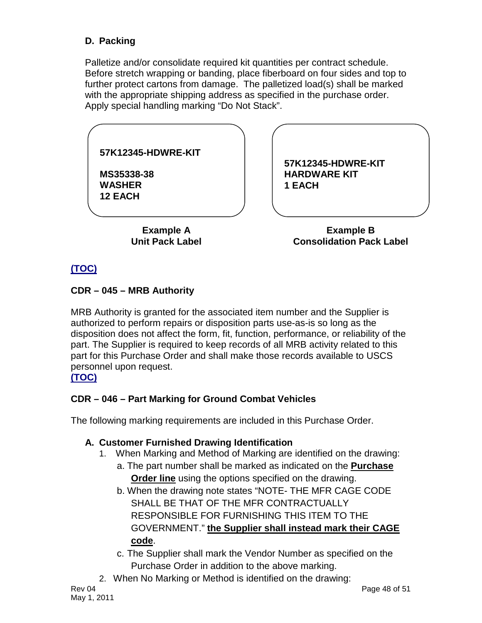# <span id="page-48-0"></span>**D. Packing**

Palletize and/or consolidate required kit quantities per contract schedule. Before stretch wrapping or banding, place fiberboard on four sides and top to further protect cartons from damage. The palletized load(s) shall be marked with the appropriate shipping address as specified in the purchase order. Apply special handling marking "Do Not Stack".

| 57K12345-HDWRE-KIT                            |                                                     |  |
|-----------------------------------------------|-----------------------------------------------------|--|
| MS35338-38<br><b>WASHER</b><br><b>12 EACH</b> | 57K12345-HDWRE-KIT<br><b>HARDWARE KIT</b><br>1 EACH |  |
|                                               |                                                     |  |
| <b>Example A</b>                              | <b>Example B</b>                                    |  |

**Example A Unit Pack Label**

**Example B Consolidation Pack Label**

# **[\(TOC\)](#page-2-0)**

#### <span id="page-48-1"></span>**CDR – 045 – MRB Authority**

MRB Authority is granted for the associated item number and the Supplier is authorized to perform repairs or disposition parts use-as-is so long as the disposition does not affect the form, fit, function, performance, or reliability of the part. The Supplier is required to keep records of all MRB activity related to this part for this Purchase Order and shall make those records available to USCS personnel upon request.

## **[\(TOC\)](#page-2-0)**

# <span id="page-48-2"></span>**CDR – 046 – Part Marking for Ground Combat Vehicles**

The following marking requirements are included in this Purchase Order.

#### <span id="page-48-3"></span>**A. Customer Furnished Drawing Identification**

- 1. When Marking and Method of Marking are identified on the drawing:
	- a. The part number shall be marked as indicated on the **Purchase Order line** using the options specified on the drawing.
	- b. When the drawing note states "NOTE- THE MFR CAGE CODE SHALL BE THAT OF THE MFR CONTRACTUALLY RESPONSIBLE FOR FURNISHING THIS ITEM TO THE GOVERNMENT." **the Supplier shall instead mark their CAGE code** .
	- c. The Supplier shall mark the Vendor Number as specified on the Purchase Order in addition to the above marking.
- 2. When No Marking or Method is identified on the drawing: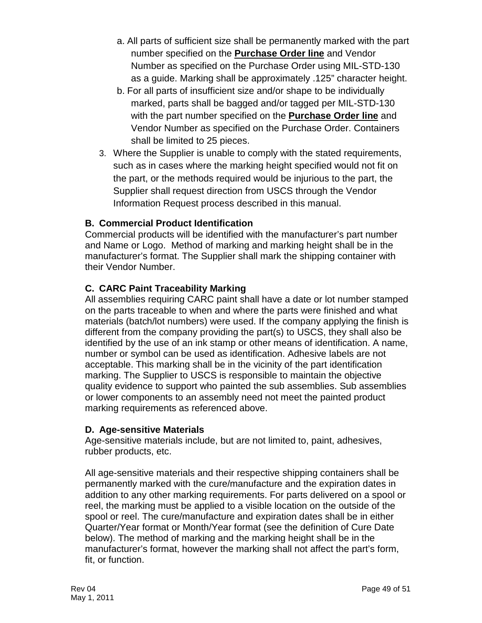- a. All parts of sufficient size shall be permanently marked with the part number specified on the **Purchase Order line** and Vendor Number as specified on the Purchase Order using MIL-STD-130 as a guide. Marking shall be approximately .125" character height.
- b. For all parts of insufficient size and/or shape to be individually marked, parts shall be bagged and/or tagged per MIL-STD-130 with the part number specified on the **Purchase Order line** and Vendor Number as specified on the Purchase Order. Containers shall be limited to 25 pieces.
- 3. Where the Supplier is unable to comply with the stated requirements, such as in cases where the marking height specified would not fit on the part, or the methods required would be injurious to the part, the Supplier shall request direction from USCS through the Vendor Information Request process described in this manual.

## <span id="page-49-0"></span>**B. Commercial Product Identification**

Commercial products will be identified with the manufacturer's part number and Name or Logo. Method of marking and marking height shall be in the manufacturer's format. The Supplier shall mark the shipping container with their Vendor Number.

## <span id="page-49-1"></span>**C. CARC Paint Traceability Marking**

All assemblies requiring CARC paint shall have a date or lot number stamped on the parts traceable to when and where the parts were finished and what materials (batch/lot numbers) were used. If the company applying the finish is different from the company providing the part(s) to USCS, they shall also be identified by the use of an ink stamp or other means of identification. A name, number or symbol can be used as identification. Adhesive labels are not acceptable. This marking shall be in the vicinity of the part identification marking. The Supplier to USCS is responsible to maintain the objective quality evidence to support who painted the sub assemblies. Sub assemblies or lower components to an assembly need not meet the painted product marking requirements as referenced above.

#### <span id="page-49-2"></span>**D. Age-sensitive Materials**

Age-sensitive materials include, but are not limited to, paint, adhesives, rubber products, etc.

All age-sensitive materials and their respective shipping containers shall be permanently marked with the cure/manufacture and the expiration dates in addition to any other marking requirements. For parts delivered on a spool or reel, the marking must be applied to a visible location on the outside of the spool or reel. The cure/manufacture and expiration dates shall be in either Quarter/Year format or Month/Year format (see the definition of Cure Date below). The method of marking and the marking height shall be in the manufacturer's format, however the marking shall not affect the part's form, fit, or function.